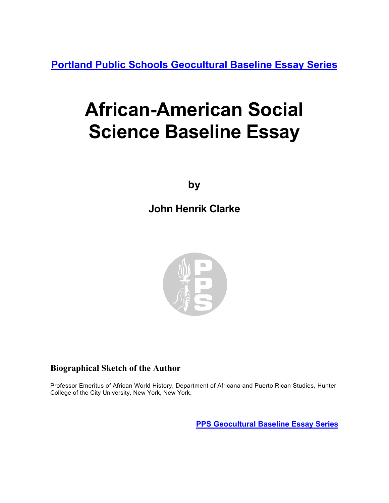<span id="page-0-0"></span>**[Portland Public Schools Geocultural Baseline Essay Series](http://www.pps.k12.or.us/district/depts/mc-me/essays.shtml)**

# **African-American Social Science Baseline Essay**

**by** 

**John Henrik Clarke** 



#### **Biographical Sketch of the Author**

Professor Emeritus of African World History, Department of Africana and Puerto Rican Studies, Hunter College of the City University, New York, New York.

**[PPS Geocultural Baseline Essay Series](http://www.pps.k12.or.us/district/depts/mc-me/essays.shtml)**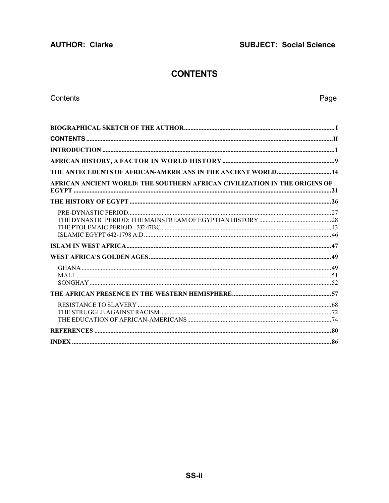### **CONTENTS**

<span id="page-1-0"></span>

| Contents |
|----------|
|----------|

| THE ANTECEDENTS OF AFRICAN-AMERICANS IN THE ANCIENT WORLD14                |  |
|----------------------------------------------------------------------------|--|
| AFRICAN ANCIENT WORLD: THE SOUTHERN AFRICAN CIVILIZATION IN THE ORIGINS OF |  |
|                                                                            |  |
|                                                                            |  |
|                                                                            |  |
|                                                                            |  |
|                                                                            |  |
|                                                                            |  |
|                                                                            |  |
|                                                                            |  |
|                                                                            |  |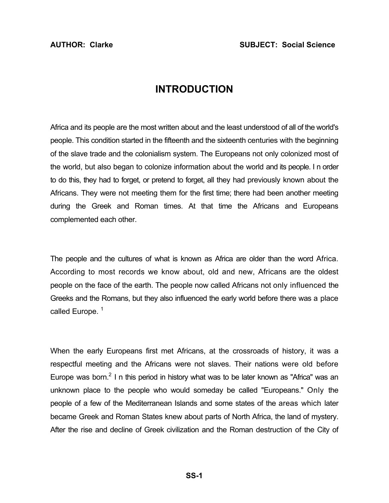### **INTRODUCTION**

<span id="page-2-0"></span>Africa and its people are the most written about and the least understood of all of the world's people. This condition started in the fifteenth and the sixteenth centuries with the beginning of the slave trade and the colonialism system. The Europeans not only colonized most of the world, but also began to colonize information about the world and its people. I n order to do this, they had to forget, or pretend to forget, all they had previously known about the Africans. They were not meeting them for the first time; there had been another meeting during the Greek and Roman times. At that time the Africans and Europeans complemented each other.

The people and the cultures of what is known as Africa are older than the word Africa. According to most records we know about, old and new, Africans are the oldest people on the face of the earth. The people now called Africans not only influenced the Greeks and the Romans, but they also influenced the early world before there was a place called Europe.<sup>1</sup>

When the early Europeans first met Africans, at the crossroads of history, it was a respectful meeting and the Africans were not slaves. Their nations were old before Europe was born. $^2$  I n this period in history what was to be later known as "Africa" was an unknown place to the people who would someday be called "Europeans." Only the people of a few of the Mediterranean Islands and some states of the areas which later became Greek and Roman States knew about parts of North Africa, the land of mystery. After the rise and decline of Greek civilization and the Roman destruction of the City of

**SS-1**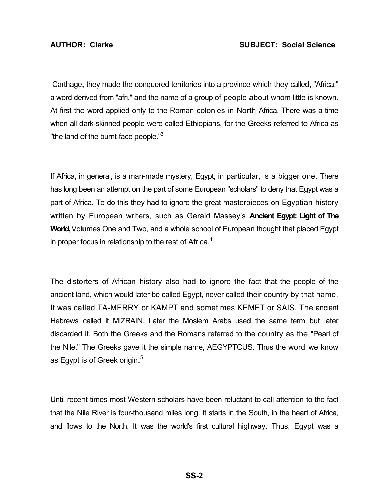Carthage, they made the conquered territories into a province which they called, "Africa," a word derived from "afri," and the name of a group of people about whom little is known. At first the word applied only to the Roman colonies in North Africa. There was a time when all dark-skinned people were called Ethiopians, for the Greeks referred to Africa as "the land of the burnt-face people."<sup>3</sup>

If Africa, in general, is a man-made mystery, Egypt, in particular, is a bigger one. There has long been an attempt on the part of some European "scholars" to deny that Egypt was a part of Africa. To do this they had to ignore the great masterpieces on Egyptian history written by European writers, such as Gerald Massey's **Ancient Egypt: Light of The World,** Volumes One and Two, and a whole school of European thought that placed Egypt in proper focus in relationship to the rest of Africa.<sup>4</sup>

The distorters of African history also had to ignore the fact that the people of the ancient land, which would later be called Egypt, never called their country by that name. It was called TA-MERRY or KAMPT and sometimes KEMET or SAIS. The ancient Hebrews called it MIZRAIN. Later the Moslem Arabs used the same term but later discarded it. Both the Greeks and the Romans referred to the country as the "Pearl of the Nile." The Greeks gave it the simple name, AEGYPTCUS. Thus the word we know as Egypt is of Greek origin.<sup>5</sup>

Until recent times most Western scholars have been reluctant to call attention to the fact that the Nile River is four-thousand miles long. It starts in the South, in the heart of Africa, and flows to the North. It was the world's first cultural highway. Thus, Egypt was a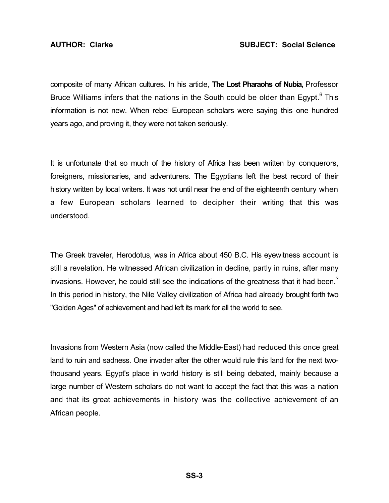composite of many African cultures. In his article, **The Lost Pharaohs of Nubia,** Professor Bruce Williams infers that the nations in the South could be older than Egypt.<sup>6</sup> This information is not new. When rebel European scholars were saying this one hundred years ago, and proving it, they were not taken seriously.

It is unfortunate that so much of the history of Africa has been written by conquerors, foreigners, missionaries, and adventurers. The Egyptians left the best record of their history written by local writers. It was not until near the end of the eighteenth century when a few European scholars learned to decipher their writing that this was understood.

The Greek traveler, Herodotus, was in Africa about 450 B.C. His eyewitness account is still a revelation. He witnessed African civilization in decline, partly in ruins, after many invasions. However, he could still see the indications of the greatness that it had been.<sup>?</sup> In this period in history, the Nile Valley civilization of Africa had already brought forth two "Golden Ages" of achievement and had left its mark for all the world to see.

Invasions from Western Asia (now called the Middle-East) had reduced this once great land to ruin and sadness. One invader after the other would rule this land for the next twothousand years. Egypt's place in world history is still being debated, mainly because a large number of Western scholars do not want to accept the fact that this was a nation and that its great achievements in history was the collective achievement of an African people.

**SS-3**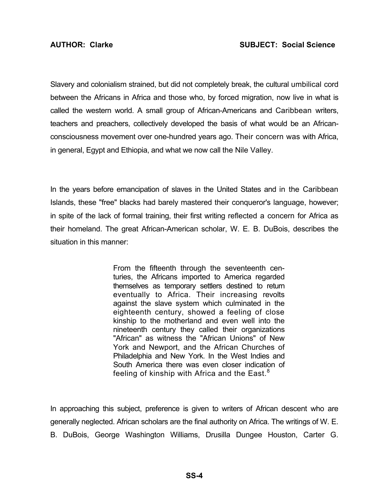Slavery and colonialism strained, but did not completely break, the cultural umbilical cord between the Africans in Africa and those who, by forced migration, now live in what is called the western world. A small group of African-Americans and Caribbean writers, teachers and preachers, collectively developed the basis of what would be an Africanconsciousness movement over one-hundred years ago. Their concern was with Africa, in general, Egypt and Ethiopia, and what we now call the Nile Valley.

In the years before emancipation of slaves in the United States and in the Caribbean Islands, these "free" blacks had barely mastered their conqueror's language, however; in spite of the lack of formal training, their first writing reflected a concern for Africa as their homeland. The great African-American scholar, W. E. B. DuBois, describes the situation in this manner:

> From the fifteenth through the seventeenth centuries, the Africans imported to America regarded themselves as temporary settlers destined to return eventually to Africa. Their increasing revolts against the slave system which culminated in the eighteenth century, showed a feeling of close kinship to the motherland and even well into the nineteenth century they called their organizations "African" as witness the "African Unions" of New York and Newport, and the African Churches of Philadelphia and New York. In the West Indies and South America there was even closer indication of feeling of kinship with Africa and the East. $^8$

In approaching this subject, preference is given to writers of African descent who are generally neglected. African scholars are the final authority on Africa. The writings of W. E. B. DuBois, George Washington Williams, Drusilla Dungee Houston, Carter G.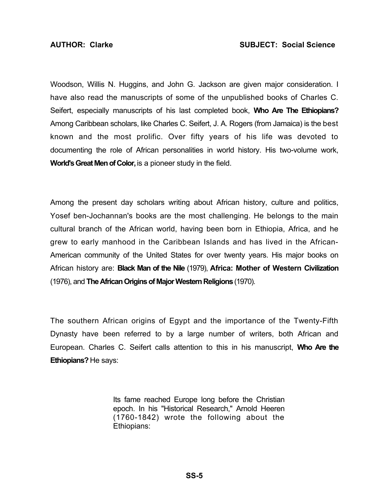Woodson, Willis N. Huggins, and John G. Jackson are given major consideration. I have also read the manuscripts of some of the unpublished books of Charles C. Seifert, especially manuscripts of his last completed book, **Who Are The Ethiopians?**  Among Caribbean scholars, like Charles C. Seifert, J. A. Rogers (from Jamaica) is the best known and the most prolific. Over fifty years of his life was devoted to documenting the role of African personalities in world history. His two-volume work, **World's Great Men of Color,** is a pioneer study in the field.

Among the present day scholars writing about African history, culture and politics, Yosef ben-Jochannan's books are the most challenging. He belongs to the main cultural branch of the African world, having been born in Ethiopia, Africa, and he grew to early manhood in the Caribbean Islands and has lived in the African-American community of the United States for over twenty years. His major books on African history are: **Black Man of the Nile** (1979), **Africa: Mother of Western Civilization** (1976), and **The African Origins of Major Western Religions**(1970).

The southern African origins of Egypt and the importance of the Twenty-Fifth Dynasty have been referred to by a large number of writers, both African and European. Charles C. Seifert calls attention to this in his manuscript, **Who Are the Ethiopians?** He says:

> Its fame reached Europe long before the Christian epoch. In his "Historical Research," Arnold Heeren (1760-1842) wrote the following about the Ethiopians: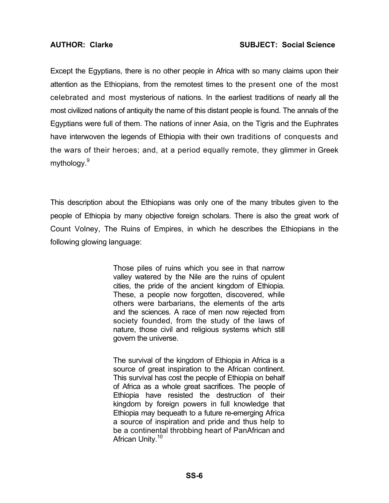#### **AUTHOR: Clarke SUBJECT: Social Science**

Except the Egyptians, there is no other people in Africa with so many claims upon their attention as the Ethiopians, from the remotest times to the present one of the most celebrated and most mysterious of nations. In the earliest traditions of nearly all the most civilized nations of antiquity the name of this distant people is found. The annals of the Egyptians were full of them. The nations of inner Asia, on the Tigris and the Euphrates have interwoven the legends of Ethiopia with their own traditions of conquests and the wars of their heroes; and, at a period equally remote, they glimmer in Greek mythology.<sup>9</sup>

This description about the Ethiopians was only one of the many tributes given to the people of Ethiopia by many objective foreign scholars. There is also the great work of Count Volney, The Ruins of Empires, in which he describes the Ethiopians in the following glowing language:

> Those piles of ruins which you see in that narrow valley watered by the Nile are the ruins of opulent cities, the pride of the ancient kingdom of Ethiopia. These, a people now forgotten, discovered, while others were barbarians, the elements of the arts and the sciences. A race of men now rejected from society founded, from the study of the laws of nature, those civil and religious systems which still govern the universe.

> The survival of the kingdom of Ethiopia in Africa is a source of great inspiration to the African continent. This survival has cost the people of Ethiopia on behalf of Africa as a whole great sacrifices. The people of Ethiopia have resisted the destruction of their kingdom by foreign powers in full knowledge that Ethiopia may bequeath to a future re-emerging Africa a source of inspiration and pride and thus help to be a continental throbbing heart of PanAfrican and African Unity.<sup>10</sup>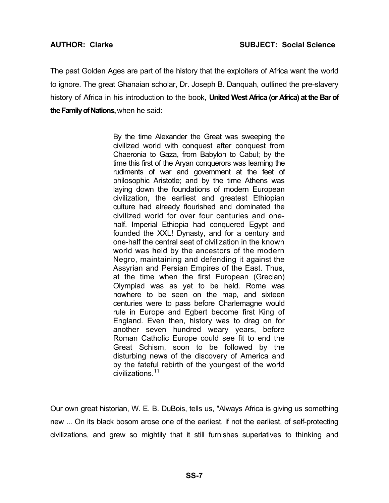The past Golden Ages are part of the history that the exploiters of Africa want the world to ignore. The great Ghanaian scholar, Dr. Joseph B. Danquah, outlined the pre-slavery history of Africa in his introduction to the book, **United West Africa (or Africa) at the Bar of the Family of Nations,** when he said:

> By the time Alexander the Great was sweeping the civilized world with conquest after conquest from Chaeronia to Gaza, from Babylon to Cabul; by the time this first of the Aryan conquerors was learning the rudiments of war and government at the feet of philosophic Aristotle; and by the time Athens was laying down the foundations of modern European civilization, the earliest and greatest Ethiopian culture had already flourished and dominated the civilized world for over four centuries and onehalf. Imperial Ethiopia had conquered Egypt and founded the XXL! Dynasty, and for a century and one-half the central seat of civilization in the known world was held by the ancestors of the modern Negro, maintaining and defending it against the Assyrian and Persian Empires of the East. Thus, at the time when the first European (Grecian) Olympiad was as yet to be held. Rome was nowhere to be seen on the map, and sixteen centuries were to pass before Charlemagne would rule in Europe and Egbert become first King of England. Even then, history was to drag on for another seven hundred weary years, before Roman Catholic Europe could see fit to end the Great Schism, soon to be followed by the disturbing news of the discovery of America and by the fateful rebirth of the youngest of the world civilizations.<sup>11</sup>

Our own great historian, W. E. B. DuBois, tells us, "Always Africa is giving us something new ... On its black bosom arose one of the earliest, if not the earliest, of self-protecting civilizations, and grew so mightily that it still furnishes superlatives to thinking and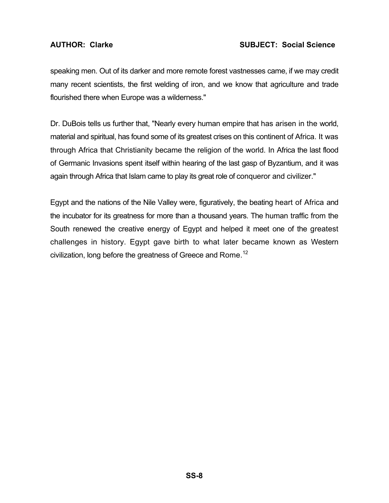#### **AUTHOR: Clarke SUBJECT: Social Science**

speaking men. Out of its darker and more remote forest vastnesses came, if we may credit many recent scientists, the first welding of iron, and we know that agriculture and trade flourished there when Europe was a wilderness."

Dr. DuBois tells us further that, "Nearly every human empire that has arisen in the world, material and spiritual, has found some of its greatest crises on this continent of Africa. It was through Africa that Christianity became the religion of the world. In Africa the last flood of Germanic Invasions spent itself within hearing of the last gasp of Byzantium, and it was again through Africa that Islam came to play its great role of conqueror and civilizer."

Egypt and the nations of the Nile Valley were, figuratively, the beating heart of Africa and the incubator for its greatness for more than a thousand years. The human traffic from the South renewed the creative energy of Egypt and helped it meet one of the greatest challenges in history. Egypt gave birth to what later became known as Western civilization, long before the greatness of Greece and Rome.<sup>12</sup>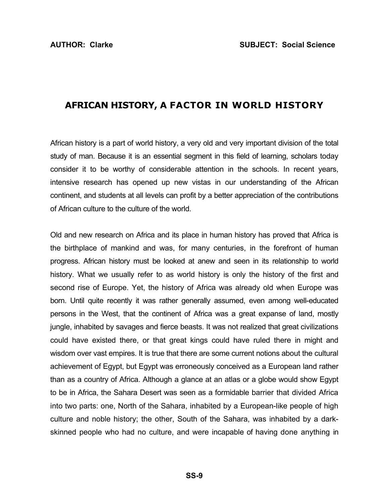### <span id="page-10-0"></span>**AFRICAN HISTORY, A FACTOR IN WORLD HISTORY**

African history is a part of world history, a very old and very important division of the total study of man. Because it is an essential segment in this field of learning, scholars today consider it to be worthy of considerable attention in the schools. In recent years, intensive research has opened up new vistas in our understanding of the African continent, and students at all levels can profit by a better appreciation of the contributions of African culture to the culture of the world.

Old and new research on Africa and its place in human history has proved that Africa is the birthplace of mankind and was, for many centuries, in the forefront of human progress. African history must be looked at anew and seen in its relationship to world history. What we usually refer to as world history is only the history of the first and second rise of Europe. Yet, the history of Africa was already old when Europe was born. Until quite recently it was rather generally assumed, even among well-educated persons in the West, that the continent of Africa was a great expanse of land, mostly jungle, inhabited by savages and fierce beasts. It was not realized that great civilizations could have existed there, or that great kings could have ruled there in might and wisdom over vast empires. It is true that there are some current notions about the cultural achievement of Egypt, but Egypt was erroneously conceived as a European land rather than as a country of Africa. Although a glance at an atlas or a globe would show Egypt to be in Africa, the Sahara Desert was seen as a formidable barrier that divided Africa into two parts: one, North of the Sahara, inhabited by a European-like people of high culture and noble history; the other, South of the Sahara, was inhabited by a darkskinned people who had no culture, and were incapable of having done anything in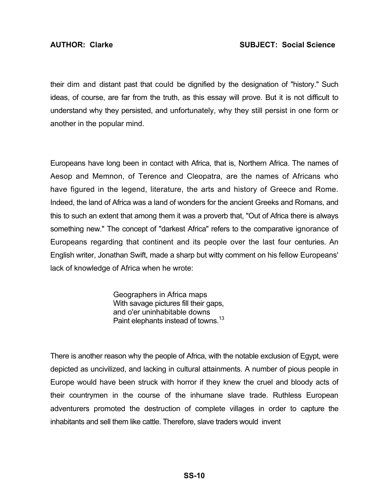their dim and distant past that could be dignified by the designation of "history." Such ideas, of course, are far from the truth, as this essay will prove. But it is not difficult to understand why they persisted, and unfortunately, why they still persist in one form or another in the popular mind.

Europeans have long been in contact with Africa, that is, Northern Africa. The names of Aesop and Memnon, of Terence and Cleopatra, are the names of Africans who have figured in the legend, literature, the arts and history of Greece and Rome. Indeed, the land of Africa was a land of wonders for the ancient Greeks and Romans, and this to such an extent that among them it was a proverb that, "Out of Africa there is always something new." The concept of "darkest Africa" refers to the comparative ignorance of Europeans regarding that continent and its people over the last four centuries. An English writer, Jonathan Swift, made a sharp but witty comment on his fellow Europeans' lack of knowledge of Africa when he wrote:

> Geographers in Africa maps With savage pictures fill their gaps, and o'er uninhabitable downs Paint elephants instead of towns.<sup>13</sup>

There is another reason why the people of Africa, with the notable exclusion of Egypt, were depicted as uncivilized, and lacking in cultural attainments. A number of pious people in Europe would have been struck with horror if they knew the cruel and bloody acts of their countrymen in the course of the inhumane slave trade. Ruthless European adventurers promoted the destruction of complete villages in order to capture the inhabitants and sell them like cattle. Therefore, slave traders would invent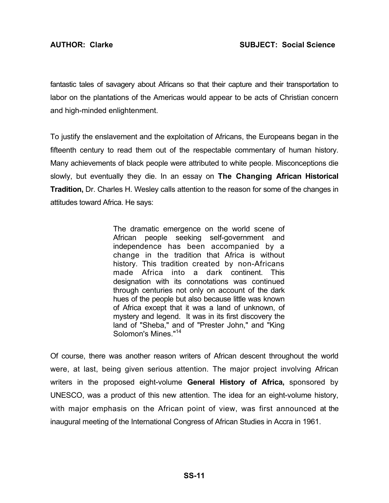fantastic tales of savagery about Africans so that their capture and their transportation to labor on the plantations of the Americas would appear to be acts of Christian concern and high-minded enlightenment.

To justify the enslavement and the exploitation of Africans, the Europeans began in the fifteenth century to read them out of the respectable commentary of human history. Many achievements of black people were attributed to white people. Misconceptions die slowly, but eventually they die. In an essay on **The Changing African Historical Tradition,** Dr. Charles H. Wesley calls attention to the reason for some of the changes in attitudes toward Africa. He says:

> The dramatic emergence on the world scene of African people seeking self-government and independence has been accompanied by a change in the tradition that Africa is without history. This tradition created by non-Africans made Africa into a dark continent. This designation with its connotations was continued through centuries not only on account of the dark hues of the people but also because little was known of Africa except that it was a land of unknown, of mystery and legend. It was in its first discovery the land of "Sheba," and of "Prester John," and "King Solomon's Mines."14

Of course, there was another reason writers of African descent throughout the world were, at last, being given serious attention. The major project involving African writers in the proposed eight-volume **General History of Africa,** sponsored by UNESCO, was a product of this new attention. The idea for an eight-volume history, with major emphasis on the African point of view, was first announced at the inaugural meeting of the International Congress of African Studies in Accra in 1961.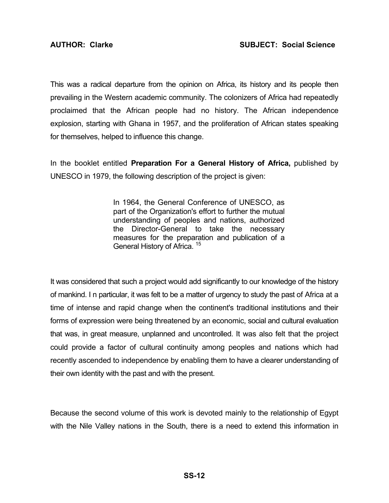This was a radical departure from the opinion on Africa, its history and its people then prevailing in the Western academic community. The colonizers of Africa had repeatedly proclaimed that the African people had no history. The African independence explosion, starting with Ghana in 1957, and the proliferation of African states speaking for themselves, helped to influence this change.

In the booklet entitled **Preparation For a General History of Africa,** published by UNESCO in 1979, the following description of the project is given:

> In 1964, the General Conference of UNESCO, as part of the Organization's effort to further the mutual understanding of peoples and nations, authorized the Director-General to take the necessary measures for the preparation and publication of a General History of Africa. <sup>15</sup>

It was considered that such a project would add significantly to our knowledge of the history of mankind. I n particular, it was felt to be a matter of urgency to study the past of Africa at a time of intense and rapid change when the continent's traditional institutions and their forms of expression were being threatened by an economic, social and cultural evaluation that was, in great measure, unplanned and uncontrolled. It was also felt that the project could provide a factor of cultural continuity among peoples and nations which had recently ascended to independence by enabling them to have a clearer understanding of their own identity with the past and with the present.

Because the second volume of this work is devoted mainly to the relationship of Egypt with the Nile Valley nations in the South, there is a need to extend this information in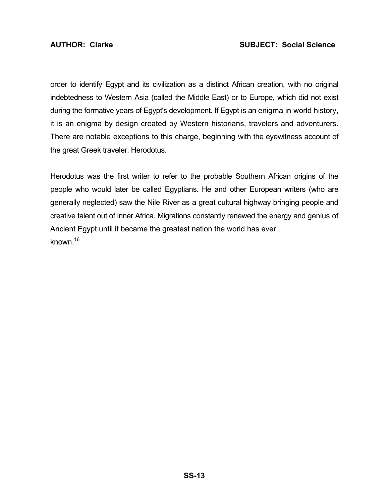order to identify Egypt and its civilization as a distinct African creation, with no original indebtedness to Western Asia (called the Middle East) or to Europe, which did not exist during the formative years of Egypt's development. If Egypt is an enigma in world history, it is an enigma by design created by Western historians, travelers and adventurers. There are notable exceptions to this charge, beginning with the eyewitness account of the great Greek traveler, Herodotus.

Herodotus was the first writer to refer to the probable Southern African origins of the people who would later be called Egyptians. He and other European writers (who are generally neglected) saw the Nile River as a great cultural highway bringing people and creative talent out of inner Africa. Migrations constantly renewed the energy and genius of Ancient Egypt until it became the greatest nation the world has ever known.16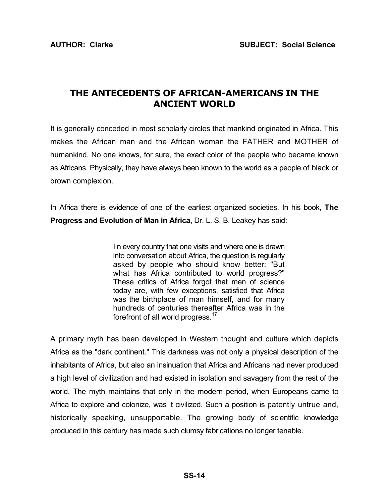### <span id="page-15-0"></span>**THE ANTECEDENTS OF AFRICAN-AMERICANS IN THE ANCIENT WORLD**

It is generally conceded in most scholarly circles that mankind originated in Africa. This makes the African man and the African woman the FATHER and MOTHER of humankind. No one knows, for sure, the exact color of the people who became known as Africans. Physically, they have always been known to the world as a people of black or brown complexion.

In Africa there is evidence of one of the earliest organized societies. In his book, **The Progress and Evolution of Man in Africa,** Dr. L. S. B. Leakey has said:

> I n every country that one visits and where one is drawn into conversation about Africa, the question is regularly asked by people who should know better: "But what has Africa contributed to world progress?" These critics of Africa forgot that men of science today are, with few exceptions, satisfied that Africa was the birthplace of man himself, and for many hundreds of centuries thereafter Africa was in the forefront of all world progress.<sup>17</sup>

A primary myth has been developed in Western thought and culture which depicts Africa as the "dark continent." This darkness was not only a physical description of the inhabitants of Africa, but also an insinuation that Africa and Africans had never produced a high level of civilization and had existed in isolation and savagery from the rest of the world. The myth maintains that only in the modern period, when Europeans came to Africa to explore and colonize, was it civilized. Such a position is patently untrue and, historically speaking, unsupportable. The growing body of scientific knowledge produced in this century has made such clumsy fabrications no longer tenable.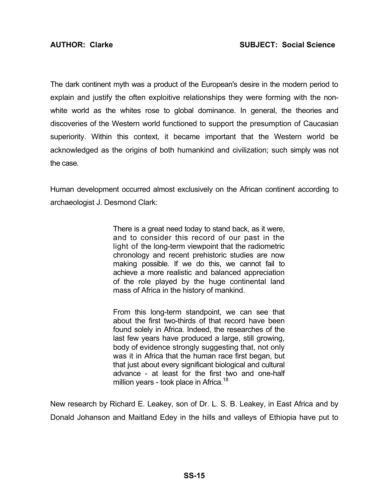The dark continent myth was a product of the European's desire in the modern period to explain and justify the often exploitive relationships they were forming with the nonwhite world as the whites rose to global dominance. In general, the theories and discoveries of the Western world functioned to support the presumption of Caucasian superiority. Within this context, it became important that the Western world be acknowledged as the origins of both humankind and civilization; such simply was not the case.

Human development occurred almost exclusively on the African continent according to archaeologist J. Desmond Clark:

> There is a great need today to stand back, as it were, and to consider this record of our past in the light of the long-term viewpoint that the radiometric chronology and recent prehistoric studies are now making possible. If we do this, we cannot fail to achieve a more realistic and balanced appreciation of the role played by the huge continental land mass of Africa in the history of mankind.

> From this long-term standpoint, we can see that about the first two-thirds of that record have been found solely in Africa. Indeed, the researches of the last few years have produced a large, still growing, body of evidence strongly suggesting that, not only was it in Africa that the human race first began, but that just about every significant biological and cultural advance - at least for the first two and one-half million years - took place in Africa.<sup>18</sup>

New research by Richard E. Leakey, son of Dr. L. S. B. Leakey, in East Africa and by Donald Johanson and Maitland Edey in the hills and valleys of Ethiopia have put to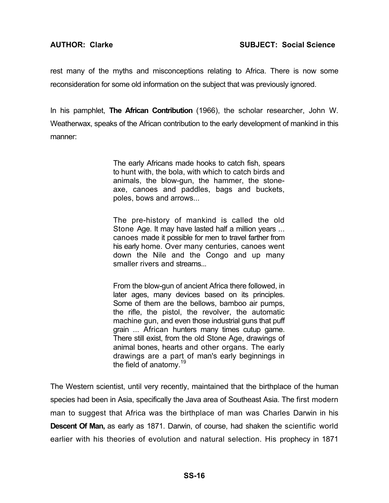rest many of the myths and misconceptions relating to Africa. There is now some reconsideration for some old information on the subject that was previously ignored.

In his pamphlet, **The African Contribution** (1966), the scholar researcher, John W. Weatherwax, speaks of the African contribution to the early development of mankind in this manner:

> The early Africans made hooks to catch fish, spears to hunt with, the bola, with which to catch birds and animals, the blow-gun, the hammer, the stoneaxe, canoes and paddles, bags and buckets, poles, bows and arrows...

> The pre-history of mankind is called the old Stone Age. It may have lasted half a million years ... canoes made it possible for men to travel farther from his early home. Over many centuries, canoes went down the Nile and the Congo and up many smaller rivers and streams...

> From the blow-gun of ancient Africa there followed, in later ages, many devices based on its principles. Some of them are the bellows, bamboo air pumps, the rifle, the pistol, the revolver, the automatic machine gun, and even those industrial guns that puff grain ... African hunters many times cutup game. There still exist, from the old Stone Age, drawings of animal bones, hearts and other organs. The early drawings are a part of man's early beginnings in the field of anatomy.<sup>19</sup>

The Western scientist, until very recently, maintained that the birthplace of the human species had been in Asia, specifically the Java area of Southeast Asia. The first modern man to suggest that Africa was the birthplace of man was Charles Darwin in his **Descent Of Man,** as early as 1871. Darwin, of course, had shaken the scientific world earlier with his theories of evolution and natural selection. His prophecy in 1871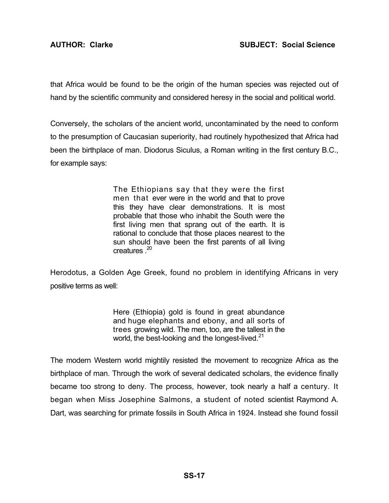that Africa would be found to be the origin of the human species was rejected out of hand by the scientific community and considered heresy in the social and political world.

Conversely, the scholars of the ancient world, uncontaminated by the need to conform to the presumption of Caucasian superiority, had routinely hypothesized that Africa had been the birthplace of man. Diodorus Siculus, a Roman writing in the first century B.C., for example says:

> The Ethiopians say that they were the first men that ever were in the world and that to prove this they have clear demonstrations. It is most probable that those who inhabit the South were the first living men that sprang out of the earth. It is rational to conclude that those places nearest to the sun should have been the first parents of all living creatures .20

Herodotus, a Golden Age Greek, found no problem in identifying Africans in very positive terms as well:

> Here (Ethiopia) gold is found in great abundance and huge elephants and ebony, and all sorts of trees growing wild. The men, too, are the tallest in the world, the best-looking and the longest-lived. $21$

The modern Western world mightily resisted the movement to recognize Africa as the birthplace of man. Through the work of several dedicated scholars, the evidence finally became too strong to deny. The process, however, took nearly a half a century. It began when Miss Josephine Salmons, a student of noted scientist Raymond A. Dart, was searching for primate fossils in South Africa in 1924. Instead she found fossil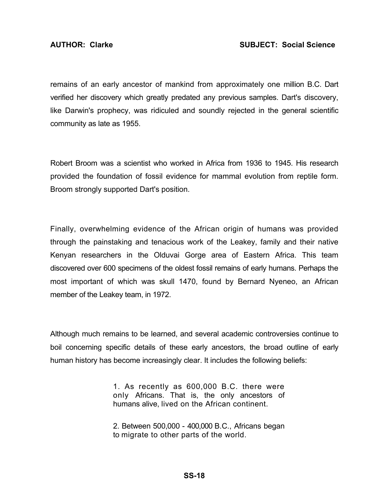remains of an early ancestor of mankind from approximately one million B.C. Dart verified her discovery which greatly predated any previous samples. Dart's discovery, like Darwin's prophecy, was ridiculed and soundly rejected in the general scientific community as late as 1955.

Robert Broom was a scientist who worked in Africa from 1936 to 1945. His research provided the foundation of fossil evidence for mammal evolution from reptile form. Broom strongly supported Dart's position.

Finally, overwhelming evidence of the African origin of humans was provided through the painstaking and tenacious work of the Leakey, family and their native Kenyan researchers in the Olduvai Gorge area of Eastern Africa. This team discovered over 600 specimens of the oldest fossil remains of early humans. Perhaps the most important of which was skull 1470, found by Bernard Nyeneo, an African member of the Leakey team, in 1972.

Although much remains to be learned, and several academic controversies continue to boil concerning specific details of these early ancestors, the broad outline of early human history has become increasingly clear. It includes the following beliefs:

> 1. As recently as 600,000 B.C. there were only Africans. That is, the only ancestors of humans alive, lived on the African continent.

> 2. Between 500,000 - 400,000 B.C., Africans began to migrate to other parts of the world.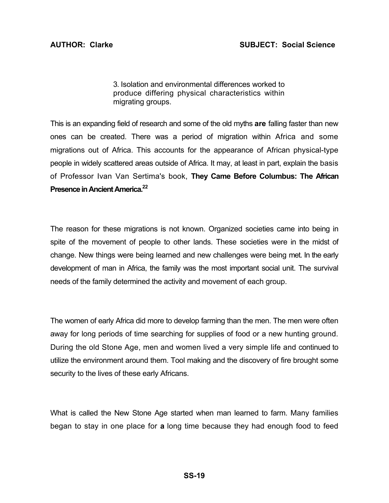3. Isolation and environmental differences worked to produce differing physical characteristics within migrating groups.

This is an expanding field of research and some of the old myths **are** falling faster than new ones can be created. There was a period of migration within Africa and some migrations out of Africa. This accounts for the appearance of African physical-type people in widely scattered areas outside of Africa. It may, at least in part, explain the basis of Professor Ivan Van Sertima's book, **They Came Before Columbus: The African Presence in Ancient America.22**

The reason for these migrations is not known. Organized societies came into being in spite of the movement of people to other lands. These societies were in the midst of change. New things were being learned and new challenges were being met. In the early development of man in Africa, the family was the most important social unit. The survival needs of the family determined the activity and movement of each group.

The women of early Africa did more to develop farming than the men. The men were often away for long periods of time searching for supplies of food or a new hunting ground. During the old Stone Age, men and women lived a very simple life and continued to utilize the environment around them. Tool making and the discovery of fire brought some security to the lives of these early Africans.

What is called the New Stone Age started when man learned to farm. Many families began to stay in one place for **a** long time because they had enough food to feed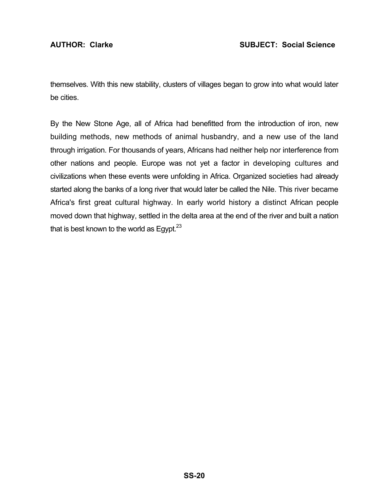themselves. With this new stability, clusters of villages began to grow into what would later be cities.

By the New Stone Age, all of Africa had benefitted from the introduction of iron, new building methods, new methods of animal husbandry, and a new use of the land through irrigation. For thousands of years, Africans had neither help nor interference from other nations and people. Europe was not yet a factor in developing cultures and civilizations when these events were unfolding in Africa. Organized societies had already started along the banks of a long river that would later be called the Nile. This river became Africa's first great cultural highway. In early world history a distinct African people moved down that highway, settled in the delta area at the end of the river and built a nation that is best known to the world as  $E$ gypt.<sup>23</sup>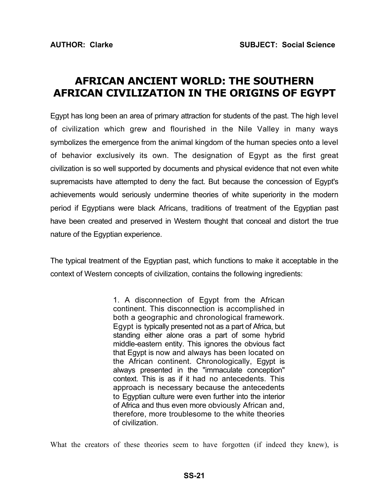## <span id="page-22-0"></span>**AFRICAN ANCIENT WORLD: THE SOUTHERN AFRICAN CIVILIZATION IN THE ORIGINS OF EGYPT**

Egypt has long been an area of primary attraction for students of the past. The high level of civilization which grew and flourished in the Nile Valley in many ways symbolizes the emergence from the animal kingdom of the human species onto a level of behavior exclusively its own. The designation of Egypt as the first great civilization is so well supported by documents and physical evidence that not even white supremacists have attempted to deny the fact. But because the concession of Egypt's achievements would seriously undermine theories of white superiority in the modern period if Egyptians were black Africans, traditions of treatment of the Egyptian past have been created and preserved in Western thought that conceal and distort the true nature of the Egyptian experience.

The typical treatment of the Egyptian past, which functions to make it acceptable in the context of Western concepts of civilization, contains the following ingredients:

> 1. A disconnection of Egypt from the African continent. This disconnection is accomplished in both a geographic and chronological framework. Egypt is typically presented not as a part of Africa, but standing either alone oras a part of some hybrid middle-eastern entity. This ignores the obvious fact that Egypt is now and always has been located on the African continent. Chronologically, Egypt is always presented in the "immaculate conception" context. This is as if it had no antecedents. This approach is necessary because the antecedents to Egyptian culture were even further into the interior of Africa and thus even more obviously African and, therefore, more troublesome to the white theories of civilization.

What the creators of these theories seem to have forgotten (if indeed they knew), is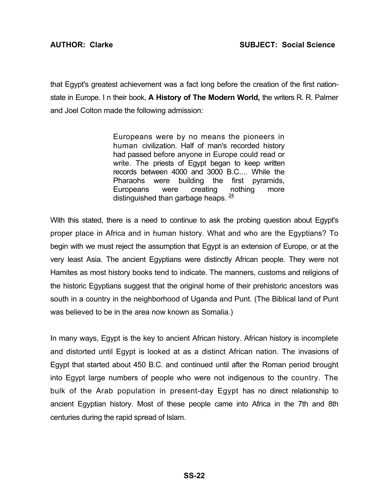that Egypt's greatest achievement was a fact long before the creation of the first nationstate in Europe. I n their book, **A History of The Modern World,** the writers R. R. Palmer and Joel Colton made the following admission:

> Europeans were by no means the pioneers in human civilization. Half of man's recorded history had passed before anyone in Europe could read or write. The priests of Egypt began to keep written records between 4000 and 3000 B.C.... While the Pharaohs were building the first pyramids, Europeans were creating nothing more distinguished than garbage heaps.  $\frac{24}{3}$

With this stated, there is a need to continue to ask the probing question about Egypt's proper place in Africa and in human history. What and who are the Egyptians? To begin with we must reject the assumption that Egypt is an extension of Europe, or at the very least Asia. The ancient Egyptians were distinctly African people. They were not Hamites as most history books tend to indicate. The manners, customs and religions of the historic Egyptians suggest that the original home of their prehistoric ancestors was south in a country in the neighborhood of Uganda and Punt. (The Biblical land of Punt was believed to be in the area now known as Somalia.)

In many ways, Egypt is the key to ancient African history. African history is incomplete and distorted until Egypt is looked at as a distinct African nation. The invasions of Egypt that started about 450 B.C. and continued until after the Roman period brought into Egypt large numbers of people who were not indigenous to the country. The bulk of the Arab population in present-day Egypt has no direct relationship to ancient Egyptian history. Most of these people came into Africa in the 7th and 8th centuries during the rapid spread of Islam.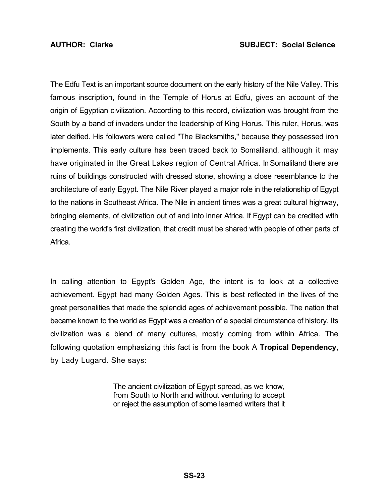The Edfu Text is an important source document on the early history of the Nile Valley. This famous inscription, found in the Temple of Horus at Edfu, gives an account of the origin of Egyptian civilization. According to this record, civilization was brought from the South by a band of invaders under the leadership of King Horus. This ruler, Horus, was later deified. His followers were called "The Blacksmiths," because they possessed iron implements. This early culture has been traced back to Somaliland, although it may have originated in the Great Lakes region of Central Africa. In Somaliland there are ruins of buildings constructed with dressed stone, showing a close resemblance to the architecture of early Egypt. The Nile River played a major role in the relationship of Egypt to the nations in Southeast Africa. The Nile in ancient times was a great cultural highway, bringing elements, of civilization out of and into inner Africa. If Egypt can be credited with creating the world's first civilization, that credit must be shared with people of other parts of Africa.

In calling attention to Egypt's Golden Age, the intent is to look at a collective achievement. Egypt had many Golden Ages. This is best reflected in the lives of the great personalities that made the splendid ages of achievement possible. The nation that became known to the world as Egypt was a creation of a special circumstance of history. Its civilization was a blend of many cultures, mostly coming from within Africa. The following quotation emphasizing this fact is from the book A **Tropical Dependency,** by Lady Lugard. She says:

> The ancient civilization of Egypt spread, as we know, from South to North and without venturing to accept or reject the assumption of some learned writers that it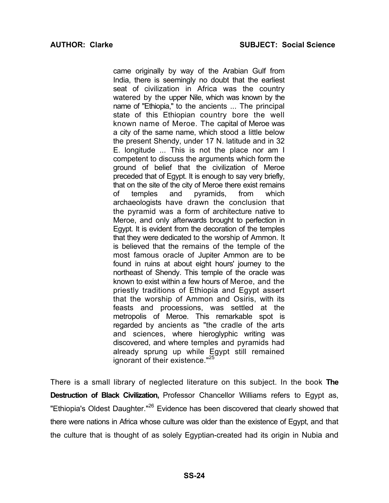came originally by way of the Arabian Gulf from India, there is seemingly no doubt that the earliest seat of civilization in Africa was the country watered by the upper Nile, which was known by the name of "Ethiopia," to the ancients ... The principal state of this Ethiopian country bore the well known name of Meroe. The capital of Meroe was a city of the same name, which stood a little below the present Shendy, under 17 N. latitude and in 32 E. longitude ... This is not the place nor am I competent to discuss the arguments which form the ground of belief that the civilization of Meroe preceded that of Egypt. It is enough to say very briefly, that on the site of the city of Meroe there exist remains of temples and pyramids, from which archaeologists have drawn the conclusion that the pyramid was a form of architecture native to Meroe, and only afterwards brought to perfection in Egypt. It is evident from the decoration of the temples that they were dedicated to the worship of Ammon. It is believed that the remains of the temple of the most famous oracle of Jupiter Ammon are to be found in ruins at about eight hours' journey to the northeast of Shendy. This temple of the oracle was known to exist within a few hours of Meroe, and the priestly traditions of Ethiopia and Egypt assert that the worship of Ammon and Osiris, with its feasts and processions, was settled at the metropolis of Meroe. This remarkable spot is regarded by ancients as "the cradle of the arts and sciences, where hieroglyphic writing was discovered, and where temples and pyramids had already sprung up while Egypt still remained ignorant of their existence."<sup>25</sup>

There is a small library of neglected literature on this subject. In the book **The Destruction of Black Civilization,** Professor Chancellor Williams refers to Egypt as, "Ethiopia's Oldest Daughter."<sup>26</sup> Evidence has been discovered that clearly showed that there were nations in Africa whose culture was older than the existence of Egypt, and that the culture that is thought of as solely Egyptian-created had its origin in Nubia and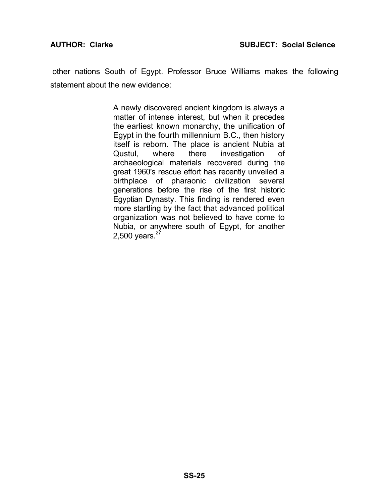other nations South of Egypt. Professor Bruce Williams makes the following statement about the new evidence:

> A newly discovered ancient kingdom is always a matter of intense interest, but when it precedes the earliest known monarchy, the unification of Egypt in the fourth millennium B.C., then history itself is reborn. The place is ancient Nubia at Qustul, where there investigation of archaeological materials recovered during the great 1960's rescue effort has recently unveiled a birthplace of pharaonic civilization several generations before the rise of the first historic Egyptian Dynasty. This finding is rendered even more startling by the fact that advanced political organization was not believed to have come to Nubia, or anywhere south of Egypt, for another 2,500 years. $27$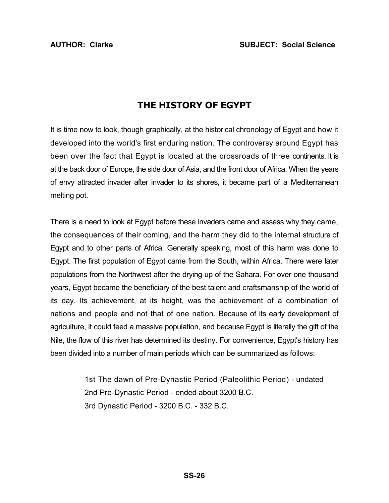### **THE HISTORY OF EGYPT**

<span id="page-27-0"></span>It is time now to look, though graphically, at the historical chronology of Egypt and how it developed into the world's first enduring nation. The controversy around Egypt has been over the fact that Egypt is located at the crossroads of three continents. It is at the back door of Europe, the side door of Asia, and the front door of Africa. When the years of envy attracted invader after invader to its shores, it became part of a Mediterranean melting pot.

There is a need to look at Egypt before these invaders came and assess why they came, the consequences of their coming, and the harm they did to the internal structure of Egypt and to other parts of Africa. Generally speaking, most of this harm was done to Egypt. The first population of Egypt came from the South, within Africa. There were later populations from the Northwest after the drying-up of the Sahara. For over one thousand years, Egypt became the beneficiary of the best talent and craftsmanship of the world of its day. Its achievement, at its height, was the achievement of a combination of nations and people and not that of one nation. Because of its early development of agriculture, it could feed a massive population, and because Egypt is literally the gift of the Nile, the flow of this river has determined its destiny. For convenience, Egypt's history has been divided into a number of main periods which can be summarized as follows:

> 1st The dawn of Pre-Dynastic Period (Paleolithic Period) - undated 2nd Pre-Dynastic Period - ended about 3200 B.C. 3rd Dynastic Period - 3200 B.C. - 332 B.C.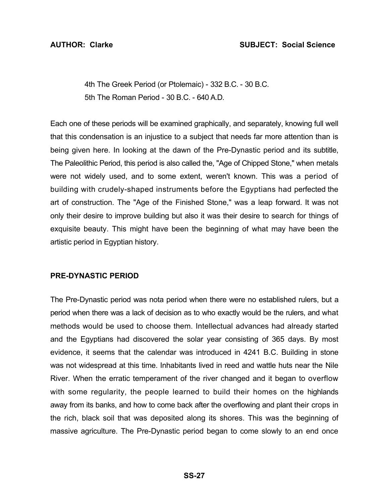<span id="page-28-0"></span>4th The Greek Period (or Ptolemaic) - 332 B.C. - 30 B.C. 5th The Roman Period - 30 B.C. - 640 A.D.

Each one of these periods will be examined graphically, and separately, knowing full well that this condensation is an injustice to a subject that needs far more attention than is being given here. In looking at the dawn of the Pre-Dynastic period and its subtitle, The Paleolithic Period, this period is also called the, "Age of Chipped Stone," when metals were not widely used, and to some extent, weren't known. This was a period of building with crudely-shaped instruments before the Egyptians had perfected the art of construction. The "Age of the Finished Stone," was a leap forward. It was not only their desire to improve building but also it was their desire to search for things of exquisite beauty. This might have been the beginning of what may have been the artistic period in Egyptian history.

#### **PRE-DYNASTIC PERIOD**

The Pre-Dynastic period was nota period when there were no established rulers, but a period when there was a lack of decision as to who exactly would be the rulers, and what methods would be used to choose them. Intellectual advances had already started and the Egyptians had discovered the solar year consisting of 365 days. By most evidence, it seems that the calendar was introduced in 4241 B.C. Building in stone was not widespread at this time. Inhabitants lived in reed and wattle huts near the Nile River. When the erratic temperament of the river changed and it began to overflow with some regularity, the people learned to build their homes on the highlands away from its banks, and how to come back after the overflowing and plant their crops in the rich, black soil that was deposited along its shores. This was the beginning of massive agriculture. The Pre-Dynastic period began to come slowly to an end once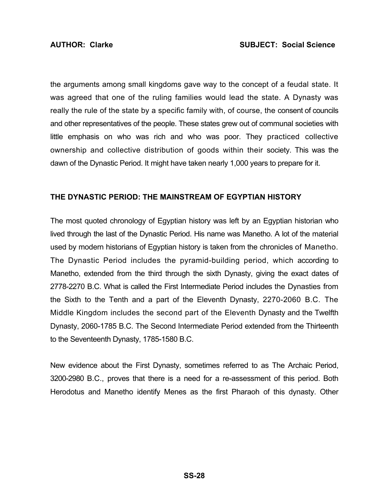<span id="page-29-0"></span>the arguments among small kingdoms gave way to the concept of a feudal state. It was agreed that one of the ruling families would lead the state. A Dynasty was really the rule of the state by a specific family with, of course, the consent of councils and other representatives of the people. These states grew out of communal societies with little emphasis on who was rich and who was poor. They practiced collective ownership and collective distribution of goods within their society. This was the dawn of the Dynastic Period. It might have taken nearly 1,000 years to prepare for it.

#### **THE DYNASTIC PERIOD: THE MAINSTREAM OF EGYPTIAN HISTORY**

The most quoted chronology of Egyptian history was left by an Egyptian historian who lived through the last of the Dynastic Period. His name was Manetho. A lot of the material used by modern historians of Egyptian history is taken from the chronicles of Manetho. The Dynastic Period includes the pyramid-building period, which according to Manetho, extended from the third through the sixth Dynasty, giving the exact dates of 2778-2270 B.C. What is called the First Intermediate Period includes the Dynasties from the Sixth to the Tenth and a part of the Eleventh Dynasty, 2270-2060 B.C. The Middle Kingdom includes the second part of the Eleventh Dynasty and the Twelfth Dynasty, 2060-1785 B.C. The Second Intermediate Period extended from the Thirteenth to the Seventeenth Dynasty, 1785-1580 B.C.

New evidence about the First Dynasty, sometimes referred to as The Archaic Period, 3200-2980 B.C., proves that there is a need for a re-assessment of this period. Both Herodotus and Manetho identify Menes as the first Pharaoh of this dynasty. Other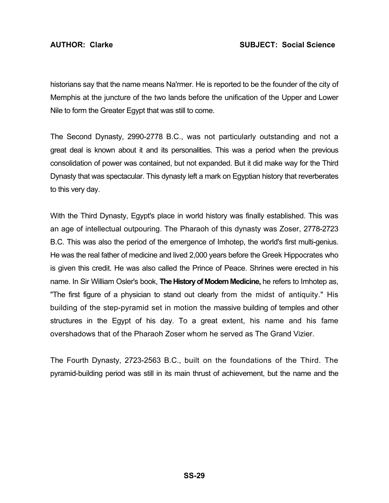historians say that the name means Na'rmer. He is reported to be the founder of the city of Memphis at the juncture of the two lands before the unification of the Upper and Lower Nile to form the Greater Egypt that was still to come.

The Second Dynasty, 2990-2778 B.C., was not particularly outstanding and not a great deal is known about it and its personalities. This was a period when the previous consolidation of power was contained, but not expanded. But it did make way for the Third Dynasty that was spectacular. This dynasty left a mark on Egyptian history that reverberates to this very day.

With the Third Dynasty, Egypt's place in world history was finally established. This was an age of intellectual outpouring. The Pharaoh of this dynasty was Zoser, 2778-2723 B.C. This was also the period of the emergence of Imhotep, the world's first multi-genius. He was the real father of medicine and lived 2,000 years before the Greek Hippocrates who is given this credit. He was also called the Prince of Peace. Shrines were erected in his name. In Sir William Osler's book, **The History of Modern Medicine,** he refers to Imhotep as, "The first figure of a physician to stand out clearly from the midst of antiquity." His building of the step-pyramid set in motion the massive building of temples and other structures in the Egypt of his day. To a great extent, his name and his fame overshadows that of the Pharaoh Zoser whom he served as The Grand Vizier.

The Fourth Dynasty, 2723-2563 B.C., built on the foundations of the Third. The pyramid-building period was still in its main thrust of achievement, but the name and the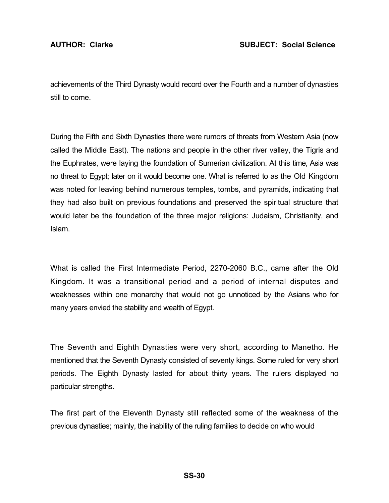achievements of the Third Dynasty would record over the Fourth and a number of dynasties still to come.

During the Fifth and Sixth Dynasties there were rumors of threats from Western Asia (now called the Middle East). The nations and people in the other river valley, the Tigris and the Euphrates, were laying the foundation of Sumerian civilization. At this time, Asia was no threat to Egypt; later on it would become one. What is referred to as the Old Kingdom was noted for leaving behind numerous temples, tombs, and pyramids, indicating that they had also built on previous foundations and preserved the spiritual structure that would later be the foundation of the three major religions: Judaism, Christianity, and Islam.

What is called the First Intermediate Period, 2270-2060 B.C., came after the Old Kingdom. It was a transitional period and a period of internal disputes and weaknesses within one monarchy that would not go unnoticed by the Asians who for many years envied the stability and wealth of Egypt.

The Seventh and Eighth Dynasties were very short, according to Manetho. He mentioned that the Seventh Dynasty consisted of seventy kings. Some ruled for very short periods. The Eighth Dynasty lasted for about thirty years. The rulers displayed no particular strengths.

The first part of the Eleventh Dynasty still reflected some of the weakness of the previous dynasties; mainly, the inability of the ruling families to decide on who would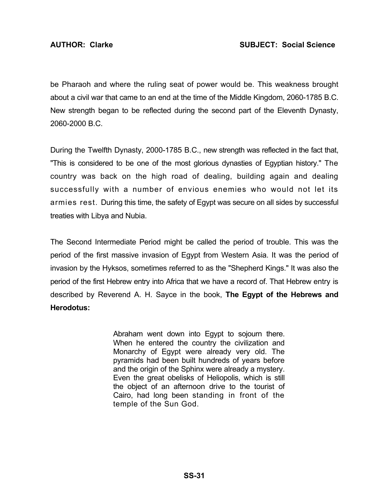be Pharaoh and where the ruling seat of power would be. This weakness brought about a civil war that came to an end at the time of the Middle Kingdom, 2060-1785 B.C. New strength began to be reflected during the second part of the Eleventh Dynasty, 2060-2000 B.C.

During the Twelfth Dynasty, 2000-1785 B.C., new strength was reflected in the fact that, "This is considered to be one of the most glorious dynasties of Egyptian history." The country was back on the high road of dealing, building again and dealing successfully with a number of envious enemies who would not let its armies rest. During this time, the safety of Egypt was secure on all sides by successful treaties with Libya and Nubia.

The Second Intermediate Period might be called the period of trouble. This was the period of the first massive invasion of Egypt from Western Asia. It was the period of invasion by the Hyksos, sometimes referred to as the "Shepherd Kings." It was also the period of the first Hebrew entry into Africa that we have a record of. That Hebrew entry is described by Reverend A. H. Sayce in the book, **The Egypt of the Hebrews and Herodotus:** 

> Abraham went down into Egypt to sojourn there. When he entered the country the civilization and Monarchy of Egypt were already very old. The pyramids had been built hundreds of years before and the origin of the Sphinx were already a mystery. Even the great obelisks of Heliopolis, which is still the object of an afternoon drive to the tourist of Cairo, had long been standing in front of the temple of the Sun God.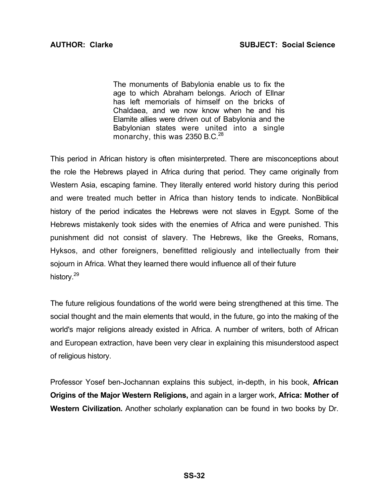The monuments of Babylonia enable us to fix the age to which Abraham belongs. Arioch of Ellnar has left memorials of himself on the bricks of Chaldaea, and we now know when he and his Elamite allies were driven out of Babylonia and the Babylonian states were united into a single monarchy, this was 2350 B.C. $^{28}$ 

This period in African history is often misinterpreted. There are misconceptions about the role the Hebrews played in Africa during that period. They came originally from Western Asia, escaping famine. They literally entered world history during this period and were treated much better in Africa than history tends to indicate. NonBiblical history of the period indicates the Hebrews were not slaves in Egypt. Some of the Hebrews mistakenly took sides with the enemies of Africa and were punished. This punishment did not consist of slavery. The Hebrews, like the Greeks, Romans, Hyksos, and other foreigners, benefitted religiously and intellectually from their sojourn in Africa. What they learned there would influence all of their future history.<sup>29</sup>

The future religious foundations of the world were being strengthened at this time. The social thought and the main elements that would, in the future, go into the making of the world's major religions already existed in Africa. A number of writers, both of African and European extraction, have been very clear in explaining this misunderstood aspect of religious history.

Professor Yosef ben-Jochannan explains this subject, in-depth, in his book, **African Origins of the Major Western Religions,** and again in a larger work, **Africa: Mother of Western Civilization.** Another scholarly explanation can be found in two books by Dr.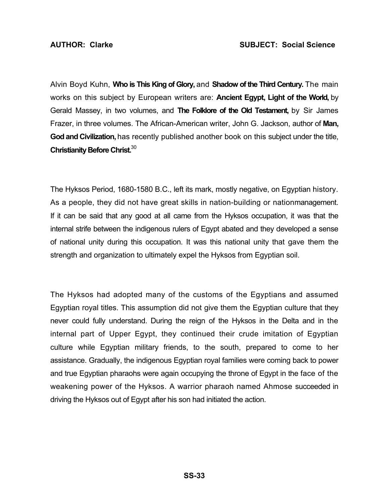Alvin Boyd Kuhn, **Who is This King of Glory,** and **Shadow of the Third Century.** The main works on this subject by European writers are: **Ancient Egypt, Light of the World,** by Gerald Massey, in two volumes, and **The Folklore of the Old Testament,** by Sir James Frazer, in three volumes. The African-American writer, John G. Jackson, author of **Man, God and Civilization,** has recently published another book on this subject under the title, **Christianity Before Christ.**<sup>30</sup>

The Hyksos Period, 1680-1580 B.C., left its mark, mostly negative, on Egyptian history. As a people, they did not have great skills in nation-building or nationmanagement. If it can be said that any good at all came from the Hyksos occupation, it was that the internal strife between the indigenous rulers of Egypt abated and they developed a sense of national unity during this occupation. It was this national unity that gave them the strength and organization to ultimately expel the Hyksos from Egyptian soil.

The Hyksos had adopted many of the customs of the Egyptians and assumed Egyptian royal titles. This assumption did not give them the Egyptian culture that they never could fully understand. During the reign of the Hyksos in the Delta and in the internal part of Upper Egypt, they continued their crude imitation of Egyptian culture while Egyptian military friends, to the south, prepared to come to her assistance. Gradually, the indigenous Egyptian royal families were coming back to power and true Egyptian pharaohs were again occupying the throne of Egypt in the face of the weakening power of the Hyksos. A warrior pharaoh named Ahmose succeeded in driving the Hyksos out of Egypt after his son had initiated the action.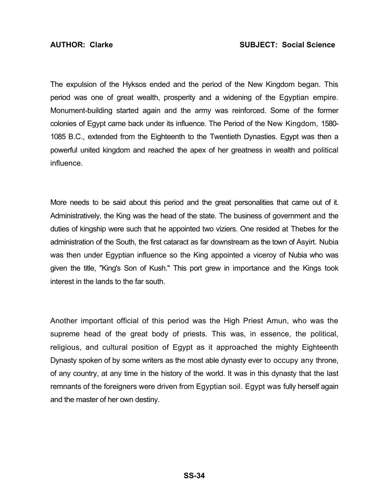The expulsion of the Hyksos ended and the period of the New Kingdom began. This period was one of great wealth, prosperity and a widening of the Egyptian empire. Monument-building started again and the army was reinforced. Some of the former colonies of Egypt came back under its influence. The Period of the New Kingdom, 1580- 1085 B.C., extended from the Eighteenth to the Twentieth Dynasties. Egypt was then a powerful united kingdom and reached the apex of her greatness in wealth and political influence.

More needs to be said about this period and the great personalities that came out of it. Administratively, the King was the head of the state. The business of government and the duties of kingship were such that he appointed two viziers. One resided at Thebes for the administration of the South, the first cataract as far downstream as the town of Asyirt. Nubia was then under Egyptian influence so the King appointed a viceroy of Nubia who was given the title, "King's Son of Kush." This port grew in importance and the Kings took interest in the lands to the far south.

Another important official of this period was the High Priest Amun, who was the supreme head of the great body of priests. This was, in essence, the political, religious, and cultural position of Egypt as it approached the mighty Eighteenth Dynasty spoken of by some writers as the most able dynasty ever to occupy any throne, of any country, at any time in the history of the world. It was in this dynasty that the last remnants of the foreigners were driven from Egyptian soil. Egypt was fully herself again and the master of her own destiny.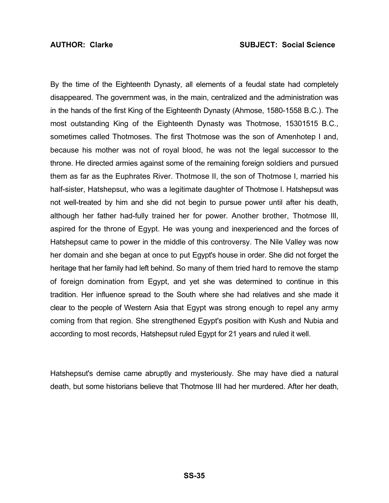By the time of the Eighteenth Dynasty, all elements of a feudal state had completely disappeared. The government was, in the main, centralized and the administration was in the hands of the first King of the Eighteenth Dynasty (Ahmose, 1580-1558 B.C.). The most outstanding King of the Eighteenth Dynasty was Thotmose, 15301515 B.C., sometimes called Thotmoses. The first Thotmose was the son of Amenhotep I and, because his mother was not of royal blood, he was not the legal successor to the throne. He directed armies against some of the remaining foreign soldiers and pursued them as far as the Euphrates River. Thotmose II, the son of Thotmose I, married his half-sister, Hatshepsut, who was a legitimate daughter of Thotmose I. Hatshepsut was not well-treated by him and she did not begin to pursue power until after his death, although her father had-fully trained her for power. Another brother, Thotmose Ill, aspired for the throne of Egypt. He was young and inexperienced and the forces of Hatshepsut came to power in the middle of this controversy. The Nile Valley was now her domain and she began at once to put Egypt's house in order. She did not forget the heritage that her family had left behind. So many of them tried hard to remove the stamp of foreign domination from Egypt, and yet she was determined to continue in this tradition. Her influence spread to the South where she had relatives and she made it clear to the people of Western Asia that Egypt was strong enough to repel any army coming from that region. She strengthened Egypt's position with Kush and Nubia and according to most records, Hatshepsut ruled Egypt for 21 years and ruled it well.

Hatshepsut's demise came abruptly and mysteriously. She may have died a natural death, but some historians believe that Thotmose III had her murdered. After her death,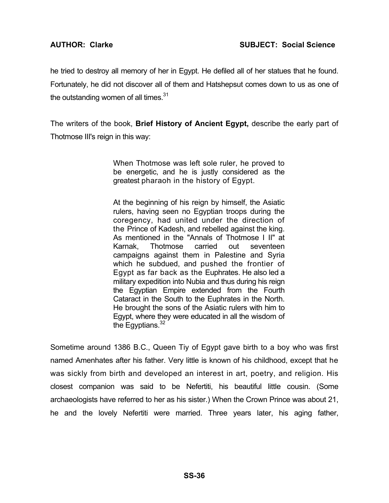he tried to destroy all memory of her in Egypt. He defiled all of her statues that he found. Fortunately, he did not discover all of them and Hatshepsut comes down to us as one of the outstanding women of all times. $31$ 

The writers of the book, **Brief History of Ancient Egypt,** describe the early part of Thotmose III's reign in this way:

> When Thotmose was left sole ruler, he proved to be energetic, and he is justly considered as the greatest pharaoh in the history of Egypt.

> At the beginning of his reign by himself, the Asiatic rulers, having seen no Egyptian troops during the coregency, had united under the direction of the Prince of Kadesh, and rebelled against the king. As mentioned in the "Annals of Thotmose I II" at Karnak, Thotmose carried out seventeen campaigns against them in Palestine and Syria which he subdued, and pushed the frontier of Egypt as far back as the Euphrates. He also led a military expedition into Nubia and thus during his reign the Egyptian Empire extended from the Fourth Cataract in the South to the Euphrates in the North. He brought the sons of the Asiatic rulers with him to Egypt, where they were educated in all the wisdom of the Egyptians. $32$

Sometime around 1386 B.C., Queen Tiy of Egypt gave birth to a boy who was first named Amenhates after his father. Very little is known of his childhood, except that he was sickly from birth and developed an interest in art, poetry, and religion. His closest companion was said to be Nefertiti, his beautiful little cousin. (Some archaeologists have referred to her as his sister.) When the Crown Prince was about 21, he and the lovely Nefertiti were married. Three years later, his aging father,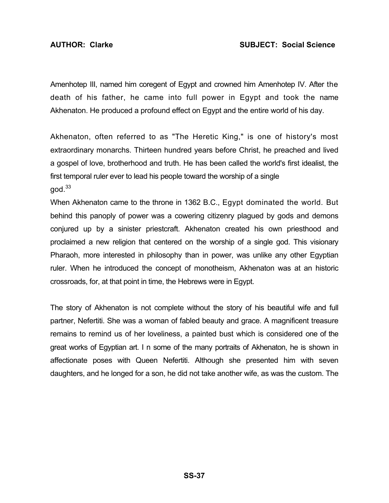Amenhotep III, named him coregent of Egypt and crowned him Amenhotep IV. After the death of his father, he came into full power in Egypt and took the name Akhenaton. He produced a profound effect on Egypt and the entire world of his day.

Akhenaton, often referred to as "The Heretic King," is one of history's most extraordinary monarchs. Thirteen hundred years before Christ, he preached and lived a gospel of love, brotherhood and truth. He has been called the world's first idealist, the first temporal ruler ever to lead his people toward the worship of a single  $q$ od. $33$ 

When Akhenaton came to the throne in 1362 B.C., Egypt dominated the world. But behind this panoply of power was a cowering citizenry plagued by gods and demons conjured up by a sinister priestcraft. Akhenaton created his own priesthood and proclaimed a new religion that centered on the worship of a single god. This visionary Pharaoh, more interested in philosophy than in power, was unlike any other Egyptian ruler. When he introduced the concept of monotheism, Akhenaton was at an historic crossroads, for, at that point in time, the Hebrews were in Egypt.

The story of Akhenaton is not complete without the story of his beautiful wife and full partner, Nefertiti. She was a woman of fabled beauty and grace. A magnificent treasure remains to remind us of her loveliness, a painted bust which is considered one of the great works of Egyptian art. I n some of the many portraits of Akhenaton, he is shown in affectionate poses with Queen Nefertiti. Although she presented him with seven daughters, and he longed for a son, he did not take another wife, as was the custom. The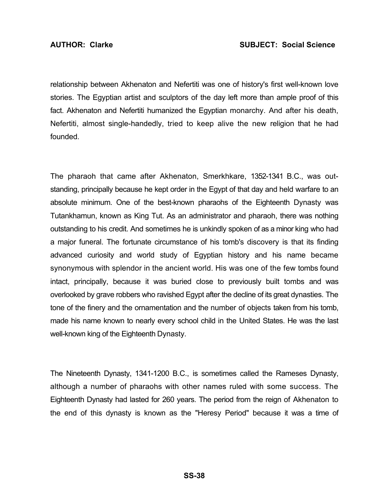relationship between Akhenaton and Nefertiti was one of history's first well-known love stories. The Egyptian artist and sculptors of the day left more than ample proof of this fact. Akhenaton and Nefertiti humanized the Egyptian monarchy. And after his death, Nefertiti, almost single-handedly, tried to keep alive the new religion that he had founded.

The pharaoh that came after Akhenaton, Smerkhkare, 1352-1341 B.C., was outstanding, principally because he kept order in the Egypt of that day and held warfare to an absolute minimum. One of the best-known pharaohs of the Eighteenth Dynasty was Tutankhamun, known as King Tut. As an administrator and pharaoh, there was nothing outstanding to his credit. And sometimes he is unkindly spoken of as a minor king who had a major funeral. The fortunate circumstance of his tomb's discovery is that its finding advanced curiosity and world study of Egyptian history and his name became synonymous with splendor in the ancient world. His was one of the few tombs found intact, principally, because it was buried close to previously built tombs and was overlooked by grave robbers who ravished Egypt after the decline of its great dynasties. The tone of the finery and the ornamentation and the number of objects taken from his tomb, made his name known to nearly every school child in the United States. He was the last well-known king of the Eighteenth Dynasty.

The Nineteenth Dynasty, 1341-1200 B.C., is sometimes called the Rameses Dynasty, although a number of pharaohs with other names ruled with some success. The Eighteenth Dynasty had lasted for 260 years. The period from the reign of Akhenaton to the end of this dynasty is known as the "Heresy Period" because it was a time of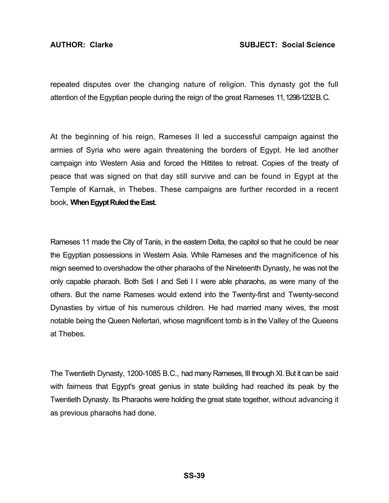repeated disputes over the changing nature of religion. This dynasty got the full attention of the Egyptian people during the reign of the great Rameses 11,1298-1232B.C.

At the beginning of his reign, Rameses II led a successful campaign against the armies of Syria who were again threatening the borders of Egypt. He led another campaign into Western Asia and forced the Hittites to retreat. Copies of the treaty of peace that was signed on that day still survive and can be found in Egypt at the Temple of Karnak, in Thebes. These campaigns are further recorded in a recent book, **When Egypt Ruled the East.** 

Rameses 11 made the City of Tanis, in the eastern Delta, the capitol so that he could be near the Egyptian possessions in Western Asia. While Rameses and the magnificence of his reign seemed to overshadow the other pharaohs of the Nineteenth Dynasty, he was not the only capable pharaoh. Both Seti I and Seti I I were able pharaohs, as were many of the others. But the name Rameses would extend into the Twenty-first and Twenty-second Dynasties by virtue of his numerous children. He had married many wives, the most notable being the Queen Nefertari, whose magnificent tomb is in the Valley of the Queens at Thebes.

The Twentieth Dynasty, 1200-1085 B.C., had many Rameses, III through XI. But it can be said with fairness that Egypt's great genius in state building had reached its peak by the Twentieth Dynasty. Its Pharaohs were holding the great state together, without advancing it as previous pharaohs had done.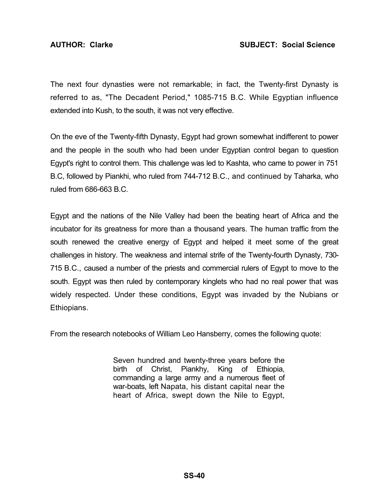The next four dynasties were not remarkable; in fact, the Twenty-first Dynasty is referred to as, "The Decadent Period," 1085-715 B.C. While Egyptian influence extended into Kush, to the south, it was not very effective.

On the eve of the Twenty-fifth Dynasty, Egypt had grown somewhat indifferent to power and the people in the south who had been under Egyptian control began to question Egypt's right to control them. This challenge was led to Kashta, who came to power in 751 B.C, followed by Piankhi, who ruled from 744-712 B.C., and continued by Taharka, who ruled from 686-663 B.C.

Egypt and the nations of the Nile Valley had been the beating heart of Africa and the incubator for its greatness for more than a thousand years. The human traffic from the south renewed the creative energy of Egypt and helped it meet some of the great challenges in history. The weakness and internal strife of the Twenty-fourth Dynasty, 730- 715 B.C., caused a number of the priests and commercial rulers of Egypt to move to the south. Egypt was then ruled by contemporary kinglets who had no real power that was widely respected. Under these conditions, Egypt was invaded by the Nubians or Ethiopians.

From the research notebooks of William Leo Hansberry, comes the following quote:

Seven hundred and twenty-three years before the birth of Christ, Piankhy, King of Ethiopia, commanding a large army and a numerous fleet of war-boats, left Napata, his distant capital near the heart of Africa, swept down the Nile to Egypt,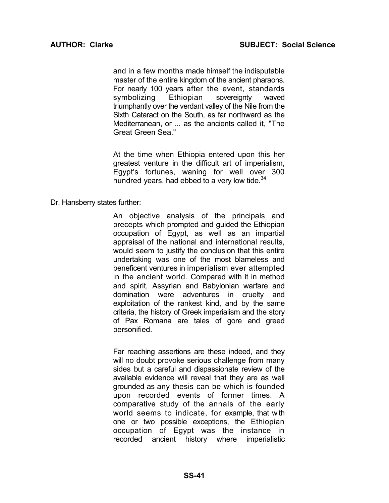and in a few months made himself the indisputable master of the entire kingdom of the ancient pharaohs. For nearly 100 years after the event, standards symbolizing Ethiopian sovereignty waved triumphantly over the verdant valley of the Nile from the Sixth Cataract on the South, as far northward as the Mediterranean, or ... as the ancients called it, "The Great Green Sea."

At the time when Ethiopia entered upon this her greatest venture in the difficult art of imperialism, Egypt's fortunes, waning for well over 300 hundred years, had ebbed to a very low tide.<sup>34</sup>

Dr. Hansberry states further:

An objective analysis of the principals and precepts which prompted and guided the Ethiopian occupation of Egypt, as well as an impartial appraisal of the national and international results, would seem to justify the conclusion that this entire undertaking was one of the most blameless and beneficent ventures in imperialism ever attempted in the ancient world. Compared with it in method and spirit, Assyrian and Babylonian warfare and domination were adventures in cruelty and exploitation of the rankest kind, and by the same criteria, the history of Greek imperialism and the story of Pax Romana are tales of gore and greed personified.

Far reaching assertions are these indeed, and they will no doubt provoke serious challenge from many sides but a careful and dispassionate review of the available evidence will reveal that they are as well grounded as any thesis can be which is founded upon recorded events of former times. A comparative study of the annals of the early world seems to indicate, for example, that with one or two possible exceptions, the Ethiopian occupation of Egypt was the instance in recorded ancient history where imperialistic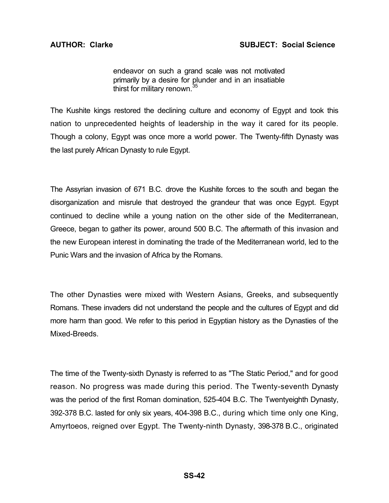endeavor on such a grand scale was not motivated primarily by a desire for plunder and in an insatiable thirst for military renown.<sup>35</sup>

The Kushite kings restored the declining culture and economy of Egypt and took this nation to unprecedented heights of leadership in the way it cared for its people. Though a colony, Egypt was once more a world power. The Twenty-fifth Dynasty was the last purely African Dynasty to rule Egypt.

The Assyrian invasion of 671 B.C. drove the Kushite forces to the south and began the disorganization and misrule that destroyed the grandeur that was once Egypt. Egypt continued to decline while a young nation on the other side of the Mediterranean, Greece, began to gather its power, around 500 B.C. The aftermath of this invasion and the new European interest in dominating the trade of the Mediterranean world, led to the Punic Wars and the invasion of Africa by the Romans.

The other Dynasties were mixed with Western Asians, Greeks, and subsequently Romans. These invaders did not understand the people and the cultures of Egypt and did more harm than good. We refer to this period in Egyptian history as the Dynasties of the Mixed-Breeds.

The time of the Twenty-sixth Dynasty is referred to as "The Static Period," and for good reason. No progress was made during this period. The Twenty-seventh Dynasty was the period of the first Roman domination, 525-404 B.C. The Twentyeighth Dynasty, 392-378 B.C. lasted for only six years, 404-398 B.C., during which time only one King, Amyrtoeos, reigned over Egypt. The Twenty-ninth Dynasty, 398-378 B.C., originated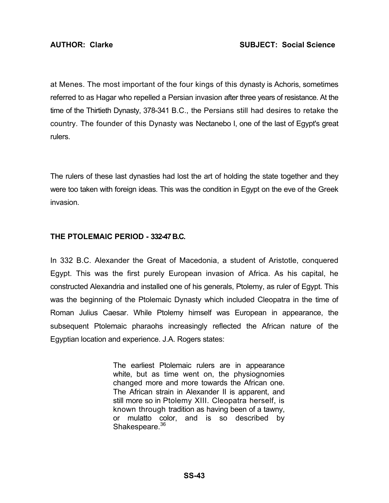at Menes. The most important of the four kings of this dynasty is Achoris, sometimes referred to as Hagar who repelled a Persian invasion after three years of resistance. At the time of the Thirtieth Dynasty, 378-341 B.C., the Persians still had desires to retake the country. The founder of this Dynasty was Nectanebo I, one of the last of Egypt's great rulers.

The rulers of these last dynasties had lost the art of holding the state together and they were too taken with foreign ideas. This was the condition in Egypt on the eve of the Greek invasion.

### **THE PTOLEMAIC PERIOD - 332-47 B.C.**

In 332 B.C. Alexander the Great of Macedonia, a student of Aristotle, conquered Egypt. This was the first purely European invasion of Africa. As his capital, he constructed Alexandria and installed one of his generals, Ptolemy, as ruler of Egypt. This was the beginning of the Ptolemaic Dynasty which included Cleopatra in the time of Roman Julius Caesar. While Ptolemy himself was European in appearance, the subsequent Ptolemaic pharaohs increasingly reflected the African nature of the Egyptian location and experience. J.A. Rogers states:

> The earliest Ptolemaic rulers are in appearance white, but as time went on, the physiognomies changed more and more towards the African one. The African strain in Alexander II is apparent, and still more so in Ptolemy XIII. Cleopatra herself, is known through tradition as having been of a tawny, or mulatto color, and is so described by Shakespeare.<sup>36</sup>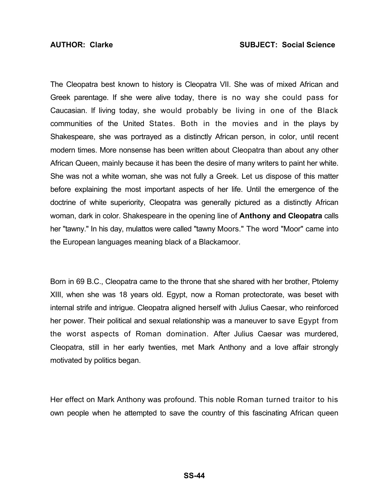The Cleopatra best known to history is Cleopatra VII. She was of mixed African and Greek parentage. If she were alive today, there is no way she could pass for Caucasian. If living today, she would probably be living in one of the Black communities of the United States. Both in the movies and in the plays by Shakespeare, she was portrayed as a distinctly African person, in color, until recent modern times. More nonsense has been written about Cleopatra than about any other African Queen, mainly because it has been the desire of many writers to paint her white. She was not a white woman, she was not fully a Greek. Let us dispose of this matter before explaining the most important aspects of her life. Until the emergence of the doctrine of white superiority, Cleopatra was generally pictured as a distinctly African woman, dark in color. Shakespeare in the opening line of **Anthony and Cleopatra** calls her "tawny." In his day, mulattos were called "tawny Moors." The word "Moor" came into the European languages meaning black of a Blackamoor.

Born in 69 B.C., Cleopatra came to the throne that she shared with her brother, Ptolemy XIII, when she was 18 years old. Egypt, now a Roman protectorate, was beset with internal strife and intrigue. Cleopatra aligned herself with Julius Caesar, who reinforced her power. Their political and sexual relationship was a maneuver to save Egypt from the worst aspects of Roman domination. After Julius Caesar was murdered, Cleopatra, still in her early twenties, met Mark Anthony and a love affair strongly motivated by politics began.

Her effect on Mark Anthony was profound. This noble Roman turned traitor to his own people when he attempted to save the country of this fascinating African queen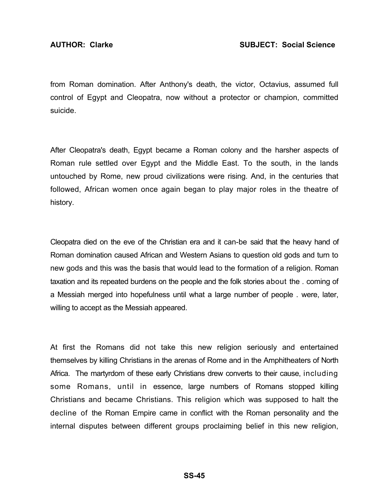from Roman domination. After Anthony's death, the victor, Octavius, assumed full control of Egypt and Cleopatra, now without a protector or champion, committed suicide.

After Cleopatra's death, Egypt became a Roman colony and the harsher aspects of Roman rule settled over Egypt and the Middle East. To the south, in the lands untouched by Rome, new proud civilizations were rising. And, in the centuries that followed, African women once again began to play major roles in the theatre of history.

Cleopatra died on the eve of the Christian era and it can-be said that the heavy hand of Roman domination caused African and Western Asians to question old gods and turn to new gods and this was the basis that would lead to the formation of a religion. Roman taxation and its repeated burdens on the people and the folk stories about the . coming of a Messiah merged into hopefulness until what a large number of people . were, later, willing to accept as the Messiah appeared.

At first the Romans did not take this new religion seriously and entertained themselves by killing Christians in the arenas of Rome and in the Amphitheaters of North Africa. The martyrdom of these early Christians drew converts to their cause, including some Romans, until in essence, large numbers of Romans stopped killing Christians and became Christians. This religion which was supposed to halt the decline of the Roman Empire came in conflict with the Roman personality and the internal disputes between different groups proclaiming belief in this new religion,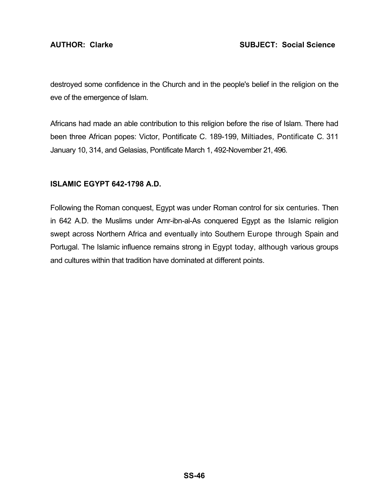destroyed some confidence in the Church and in the people's belief in the religion on the eve of the emergence of Islam.

Africans had made an able contribution to this religion before the rise of Islam. There had been three African popes: Victor, Pontificate C. 189-199, Miltiades, Pontificate C. 311 January 10, 314, and Gelasias, Pontificate March 1, 492-November 21, 496.

### **ISLAMIC EGYPT 642-1798 A.D.**

Following the Roman conquest, Egypt was under Roman control for six centuries. Then in 642 A.D. the Muslims under Amr-ibn-al-As conquered Egypt as the Islamic religion swept across Northern Africa and eventually into Southern Europe through Spain and Portugal. The Islamic influence remains strong in Egypt today, although various groups and cultures within that tradition have dominated at different points.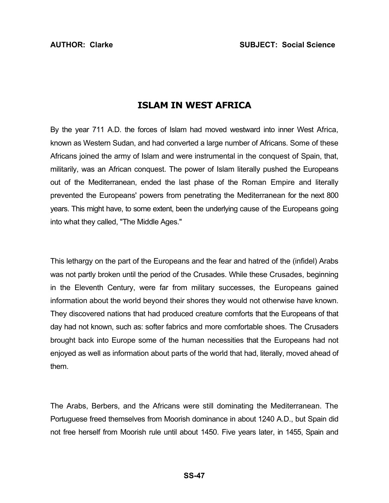## **ISLAM IN WEST AFRICA**

By the year 711 A.D. the forces of Islam had moved westward into inner West Africa, known as Western Sudan, and had converted a large number of Africans. Some of these Africans joined the army of Islam and were instrumental in the conquest of Spain, that, militarily, was an African conquest. The power of Islam literally pushed the Europeans out of the Mediterranean, ended the last phase of the Roman Empire and literally prevented the Europeans' powers from penetrating the Mediterranean for the next 800 years. This might have, to some extent, been the underlying cause of the Europeans going into what they called, "The Middle Ages."

This lethargy on the part of the Europeans and the fear and hatred of the (infidel) Arabs was not partly broken until the period of the Crusades. While these Crusades, beginning in the Eleventh Century, were far from military successes, the Europeans gained information about the world beyond their shores they would not otherwise have known. They discovered nations that had produced creature comforts that the Europeans of that day had not known, such as: softer fabrics and more comfortable shoes. The Crusaders brought back into Europe some of the human necessities that the Europeans had not enjoyed as well as information about parts of the world that had, literally, moved ahead of them.

The Arabs, Berbers, and the Africans were still dominating the Mediterranean. The Portuguese freed themselves from Moorish dominance in about 1240 A.D., but Spain did not free herself from Moorish rule until about 1450. Five years later, in 1455, Spain and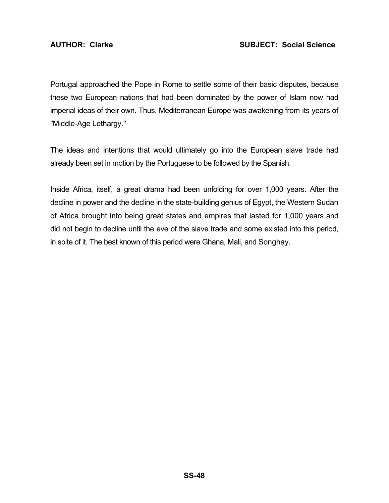Portugal approached the Pope in Rome to settle some of their basic disputes, because these two European nations that had been dominated by the power of Islam now had imperial ideas of their own. Thus, Mediterranean Europe was awakening from its years of "Middle-Age Lethargy."

The ideas and intentions that would ultimately go into the European slave trade had already been set in motion by the Portuguese to be followed by the Spanish.

Inside Africa, itself, a great drama had been unfolding for over 1,000 years. After the decline in power and the decline in the state-building genius of Egypt, the Western Sudan of Africa brought into being great states and empires that lasted for 1,000 years and did not begin to decline until the eve of the slave trade and some existed into this period, in spite of it. The best known of this period were Ghana, Mali, and Songhay.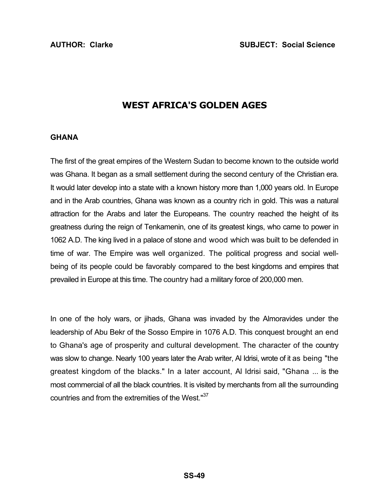# **WEST AFRICA'S GOLDEN AGES**

### **GHANA**

The first of the great empires of the Western Sudan to become known to the outside world was Ghana. It began as a small settlement during the second century of the Christian era. It would later develop into a state with a known history more than 1,000 years old. In Europe and in the Arab countries, Ghana was known as a country rich in gold. This was a natural attraction for the Arabs and later the Europeans. The country reached the height of its greatness during the reign of Tenkamenin, one of its greatest kings, who came to power in 1062 A.D. The king lived in a palace of stone and wood which was built to be defended in time of war. The Empire was well organized. The political progress and social wellbeing of its people could be favorably compared to the best kingdoms and empires that prevailed in Europe at this time. The country had a military force of 200,000 men.

In one of the holy wars, or jihads, Ghana was invaded by the Almoravides under the leadership of Abu Bekr of the Sosso Empire in 1076 A.D. This conquest brought an end to Ghana's age of prosperity and cultural development. The character of the country was slow to change. Nearly 100 years later the Arab writer, Al Idrisi, wrote of it as being "the greatest kingdom of the blacks." In a later account, Al Idrisi said, "Ghana ... is the most commercial of all the black countries. It is visited by merchants from all the surrounding countries and from the extremities of the West."<sup>37</sup>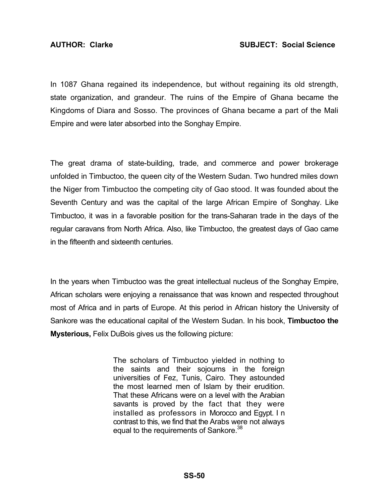In 1087 Ghana regained its independence, but without regaining its old strength, state organization, and grandeur. The ruins of the Empire of Ghana became the Kingdoms of Diara and Sosso. The provinces of Ghana became a part of the Mali Empire and were later absorbed into the Songhay Empire.

The great drama of state-building, trade, and commerce and power brokerage unfolded in Timbuctoo, the queen city of the Western Sudan. Two hundred miles down the Niger from Timbuctoo the competing city of Gao stood. It was founded about the Seventh Century and was the capital of the large African Empire of Songhay. Like Timbuctoo, it was in a favorable position for the trans-Saharan trade in the days of the regular caravans from North Africa. Also, like Timbuctoo, the greatest days of Gao came in the fifteenth and sixteenth centuries.

In the years when Timbuctoo was the great intellectual nucleus of the Songhay Empire, African scholars were enjoying a renaissance that was known and respected throughout most of Africa and in parts of Europe. At this period in African history the University of Sankore was the educational capital of the Western Sudan. In his book, **Timbuctoo the Mysterious,** Felix DuBois gives us the following picture:

> The scholars of Timbuctoo yielded in nothing to the saints and their sojourns in the foreign universities of Fez, Tunis, Cairo. They astounded the most learned men of Islam by their erudition. That these Africans were on a level with the Arabian savants is proved by the fact that they were installed as professors in Morocco and Egypt. I n contrast to this, we find that the Arabs were not always equal to the requirements of Sankore.<sup>38</sup>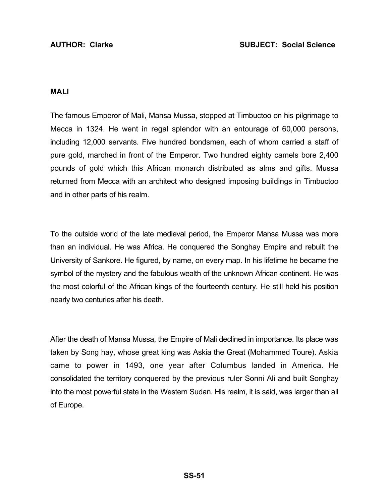### **MALI**

The famous Emperor of Mali, Mansa Mussa, stopped at Timbuctoo on his pilgrimage to Mecca in 1324. He went in regal splendor with an entourage of 60,000 persons, including 12,000 servants. Five hundred bondsmen, each of whom carried a staff of pure gold, marched in front of the Emperor. Two hundred eighty camels bore 2,400 pounds of gold which this African monarch distributed as alms and gifts. Mussa returned from Mecca with an architect who designed imposing buildings in Timbuctoo and in other parts of his realm.

To the outside world of the late medieval period, the Emperor Mansa Mussa was more than an individual. He was Africa. He conquered the Songhay Empire and rebuilt the University of Sankore. He figured, by name, on every map. In his lifetime he became the symbol of the mystery and the fabulous wealth of the unknown African continent. He was the most colorful of the African kings of the fourteenth century. He still held his position nearly two centuries after his death.

After the death of Mansa Mussa, the Empire of Mali declined in importance. Its place was taken by Song hay, whose great king was Askia the Great (Mohammed Toure). Askia came to power in 1493, one year after Columbus landed in America. He consolidated the territory conquered by the previous ruler Sonni Ali and built Songhay into the most powerful state in the Western Sudan. His realm, it is said, was larger than all of Europe.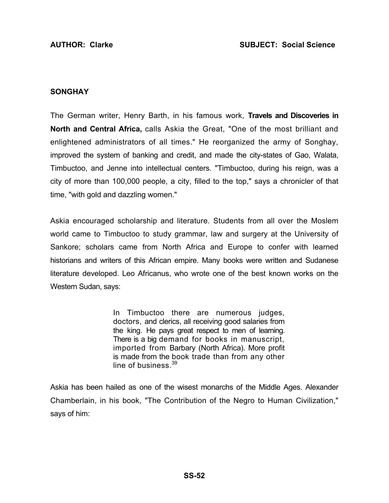### **SONGHAY**

The German writer, Henry Barth, in his famous work, **Travels and Discoveries in North and Central Africa,** calls Askia the Great, "One of the most brilliant and enlightened administrators of all times." He reorganized the army of Songhay, improved the system of banking and credit, and made the city-states of Gao, Walata, Timbuctoo, and Jenne into intellectual centers. "Timbuctoo, during his reign, was a city of more than 100,000 people, a city, filled to the top," says a chronicler of that time, "with gold and dazzling women."

Askia encouraged scholarship and literature. Students from all over the Moslem world came to Timbuctoo to study grammar, law and surgery at the University of Sankore; scholars came from North Africa and Europe to confer with learned historians and writers of this African empire. Many books were written and Sudanese literature developed. Leo Africanus, who wrote one of the best known works on the Western Sudan, says:

> In Timbuctoo there are numerous judges, doctors, and clerics, all receiving good salaries from the king. He pays great respect to men of learning. There is a big demand for books in manuscript, imported from Barbary (North Africa). More profit is made from the book trade than from any other line of business.<sup>39</sup>

Askia has been hailed as one of the wisest monarchs of the Middle Ages. Alexander Chamberlain, in his book, "The Contribution of the Negro to Human Civilization," says of him: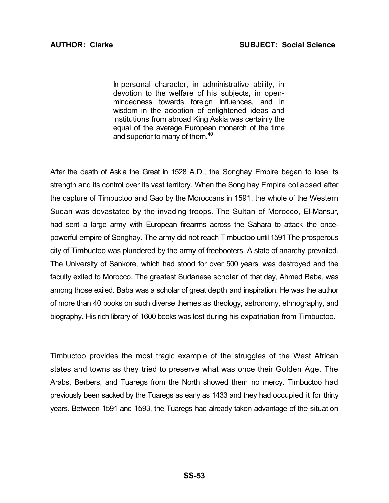In personal character, in administrative ability, in devotion to the welfare of his subjects, in openmindedness towards foreign influences, and in wisdom in the adoption of enlightened ideas and institutions from abroad King Askia was certainly the equal of the average European monarch of the time and superior to many of them.<sup>40</sup>

After the death of Askia the Great in 1528 A.D., the Songhay Empire began to lose its strength and its control over its vast territory. When the Song hay Empire collapsed after the capture of Timbuctoo and Gao by the Moroccans in 1591, the whole of the Western Sudan was devastated by the invading troops. The Sultan of Morocco, EI-Mansur, had sent a large army with European firearms across the Sahara to attack the oncepowerful empire of Songhay. The army did not reach Timbuctoo until 1591 The prosperous city of Timbuctoo was plundered by the army of freebooters. A state of anarchy prevailed. The University of Sankore, which had stood for over 500 years, was destroyed and the faculty exiled to Morocco. The greatest Sudanese scholar of that day, Ahmed Baba, was among those exiled. Baba was a scholar of great depth and inspiration. He was the author of more than 40 books on such diverse themes as theology, astronomy, ethnography, and biography. His rich library of 1600 books was lost during his expatriation from Timbuctoo.

Timbuctoo provides the most tragic example of the struggles of the West African states and towns as they tried to preserve what was once their Golden Age. The Arabs, Berbers, and Tuaregs from the North showed them no mercy. Timbuctoo had previously been sacked by the Tuaregs as early as 1433 and they had occupied it for thirty years. Between 1591 and 1593, the Tuaregs had already taken advantage of the situation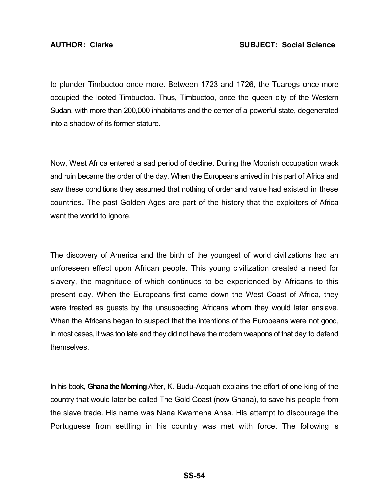to plunder Timbuctoo once more. Between 1723 and 1726, the Tuaregs once more occupied the looted Timbuctoo. Thus, Timbuctoo, once the queen city of the Western Sudan, with more than 200,000 inhabitants and the center of a powerful state, degenerated into a shadow of its former stature.

Now, West Africa entered a sad period of decline. During the Moorish occupation wrack and ruin became the order of the day. When the Europeans arrived in this part of Africa and saw these conditions they assumed that nothing of order and value had existed in these countries. The past Golden Ages are part of the history that the exploiters of Africa want the world to ignore.

The discovery of America and the birth of the youngest of world civilizations had an unforeseen effect upon African people. This young civilization created a need for slavery, the magnitude of which continues to be experienced by Africans to this present day. When the Europeans first came down the West Coast of Africa, they were treated as guests by the unsuspecting Africans whom they would later enslave. When the Africans began to suspect that the intentions of the Europeans were not good, in most cases, it was too late and they did not have the modern weapons of that day to defend themselves.

In his book, **Ghana the Morning** After, K. Budu-Acquah explains the effort of one king of the country that would later be called The Gold Coast (now Ghana), to save his people from the slave trade. His name was Nana Kwamena Ansa. His attempt to discourage the Portuguese from settling in his country was met with force. The following is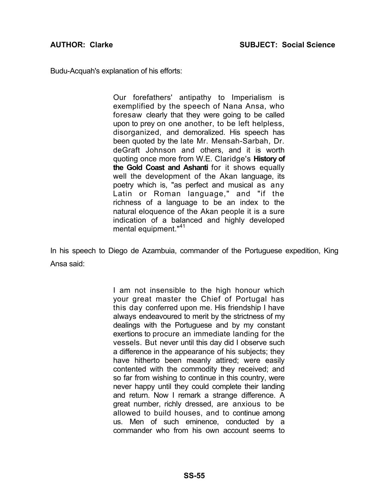Budu-Acquah's explanation of his efforts:

Our forefathers' antipathy to Imperialism is exemplified by the speech of Nana Ansa, who foresaw clearly that they were going to be called upon to prey on one another, to be left helpless, disorganized, and demoralized. His speech has been quoted by the late Mr. Mensah-Sarbah, Dr. deGraft Johnson and others, and it is worth quoting once more from W.E. Claridge's **History of the Gold Coast and Ashanti** for it shows equally well the development of the Akan language, its poetry which is, "as perfect and musical as any Latin or Roman language," and "if the richness of a language to be an index to the natural eloquence of the Akan people it is a sure indication of a balanced and highly developed mental equipment."<sup>41</sup>

In his speech to Diego de Azambuia, commander of the Portuguese expedition, King Ansa said:

> I am not insensible to the high honour which your great master the Chief of Portugal has this day conferred upon me. His friendship I have always endeavoured to merit by the strictness of my dealings with the Portuguese and by my constant exertions to procure an immediate landing for the vessels. But never until this day did I observe such a difference in the appearance of his subjects; they have hitherto been meanly attired; were easily contented with the commodity they received; and so far from wishing to continue in this country, were never happy until they could complete their landing and return. Now I remark a strange difference. A great number, richly dressed, are anxious to be allowed to build houses, and to continue among us. Men of such eminence, conducted by a commander who from his own account seems to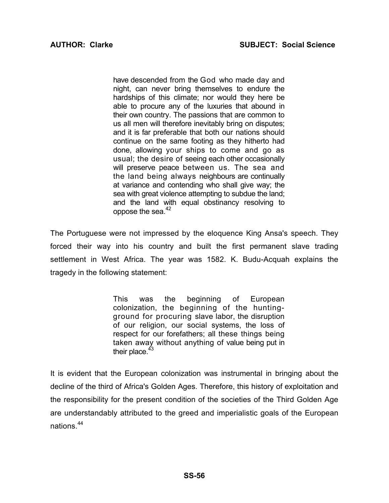have descended from the God who made day and night, can never bring themselves to endure the hardships of this climate; nor would they here be able to procure any of the luxuries that abound in their own country. The passions that are common to us all men will therefore inevitably bring on disputes; and it is far preferable that both our nations should continue on the same footing as they hitherto had done, allowing your ships to come and go as usual; the desire of seeing each other occasionally will preserve peace between us. The sea and the land being always neighbours are continually at variance and contending who shall give way; the sea with great violence attempting to subdue the land; and the land with equal obstinancy resolving to oppose the sea.<sup>42</sup>

The Portuguese were not impressed by the eloquence King Ansa's speech. They forced their way into his country and built the first permanent slave trading settlement in West Africa. The year was 1582. K. Budu-Acquah explains the tragedy in the following statement:

> This was the beginning of European colonization, the beginning of the huntingground for procuring slave labor, the disruption of our religion, our social systems, the loss of respect for our forefathers; all these things being taken away without anything of value being put in their place. $43$

It is evident that the European colonization was instrumental in bringing about the decline of the third of Africa's Golden Ages. Therefore, this history of exploitation and the responsibility for the present condition of the societies of the Third Golden Age are understandably attributed to the greed and imperialistic goals of the European nations.<sup>44</sup>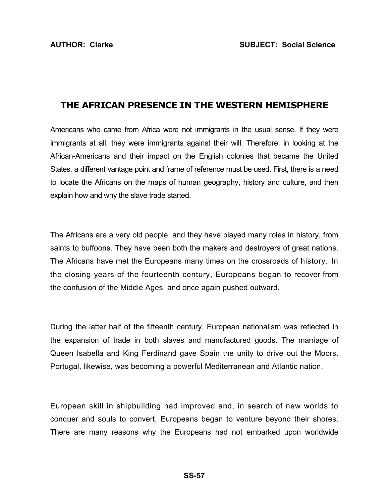## **THE AFRICAN PRESENCE IN THE WESTERN HEMISPHERE**

Americans who came from Africa were not immigrants in the usual sense. If they were immigrants at all, they were immigrants against their will. Therefore, in looking at the African-Americans and their impact on the English colonies that became the United States, a different vantage point and frame of reference must be used. First, there is a need to locate the Africans on the maps of human geography, history and culture, and then explain how and why the slave trade started.

The Africans are a very old people, and they have played many roles in history, from saints to buffoons. They have been both the makers and destroyers of great nations. The Africans have met the Europeans many times on the crossroads of history. In the closing years of the fourteenth century, Europeans began to recover from the confusion of the Middle Ages, and once again pushed outward.

During the latter half of the fifteenth century, European nationalism was reflected in the expansion of trade in both slaves and manufactured goods. The marriage of Queen Isabella and King Ferdinand gave Spain the unity to drive out the Moors. Portugal, likewise, was becoming a powerful Mediterranean and Atlantic nation.

European skill in shipbuilding had improved and, in search of new worlds to conquer and souls to convert, Europeans began to venture beyond their shores. There are many reasons why the Europeans had not embarked upon worldwide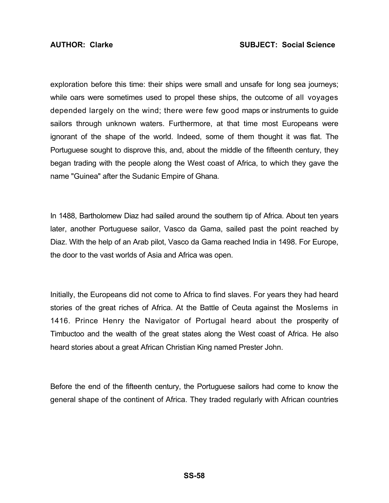exploration before this time: their ships were small and unsafe for long sea journeys; while oars were sometimes used to propel these ships, the outcome of all voyages depended largely on the wind; there were few good maps or instruments to guide sailors through unknown waters. Furthermore, at that time most Europeans were ignorant of the shape of the world. Indeed, some of them thought it was flat. The Portuguese sought to disprove this, and, about the middle of the fifteenth century, they began trading with the people along the West coast of Africa, to which they gave the name "Guinea" after the Sudanic Empire of Ghana.

In 1488, Bartholomew Diaz had sailed around the southern tip of Africa. About ten years later, another Portuguese sailor, Vasco da Gama, sailed past the point reached by Diaz. With the help of an Arab pilot, Vasco da Gama reached India in 1498. For Europe, the door to the vast worlds of Asia and Africa was open.

Initially, the Europeans did not come to Africa to find slaves. For years they had heard stories of the great riches of Africa. At the Battle of Ceuta against the Moslems in 1416. Prince Henry the Navigator of Portugal heard about the prosperity of Timbuctoo and the wealth of the great states along the West coast of Africa. He also heard stories about a great African Christian King named Prester John.

Before the end of the fifteenth century, the Portuguese sailors had come to know the general shape of the continent of Africa. They traded regularly with African countries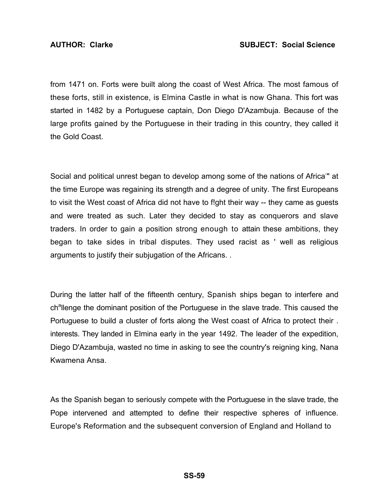from 1471 on. Forts were built along the coast of West Africa. The most famous of these forts, still in existence, is Elmina Castle in what is now Ghana. This fort was started in 1482 by a Portuguese captain, Don Diego D'Azambuja. Because of the large profits gained by the Portuguese in their trading in this country, they called it the Gold Coast.

Social and political unrest began to develop among some of the nations of Africa<sup>-</sup>" at the time Europe was regaining its strength and a degree of unity. The first Europeans to visit the West coast of Africa did not have to f!ght their way -- they came as guests and were treated as such. Later they decided to stay as conquerors and slave traders. In order to gain a position strong enough to attain these ambitions, they began to take sides in tribal disputes. They used racist as ' well as religious arguments to justify their subjugation of the Africans. .

During the latter half of the fifteenth century, Spanish ships began to interfere and ch<sup>a</sup>llenge the dominant position of the Portuguese in the slave trade. This caused the Portuguese to build a cluster of forts along the West coast of Africa to protect their . interests. They landed in Elmina early in the year 1492. The leader of the expedition, Diego D'Azambuja, wasted no time in asking to see the country's reigning king, Nana Kwamena Ansa.

As the Spanish began to seriously compete with the Portuguese in the slave trade, the Pope intervened and attempted to define their respective spheres of influence. Europe's Reformation and the subsequent conversion of England and Holland to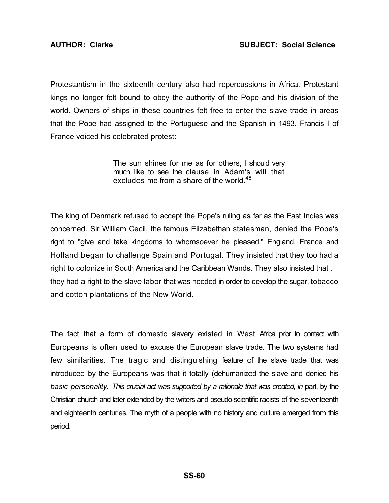Protestantism in the sixteenth century also had repercussions in Africa. Protestant kings no longer felt bound to obey the authority of the Pope and his division of the world. Owners of ships in these countries felt free to enter the slave trade in areas that the Pope had assigned to the Portuguese and the Spanish in 1493. Francis I of France voiced his celebrated protest:

> The sun shines for me as for others, I should very much like to see the clause in Adam's will that excludes me from a share of the world.<sup>45</sup>

The king of Denmark refused to accept the Pope's ruling as far as the East Indies was concerned. Sir William Cecil, the famous Elizabethan statesman, denied the Pope's right to "give and take kingdoms to whomsoever he pleased." England, France and Holland began to challenge Spain and Portugal. They insisted that they too had a right to colonize in South America and the Caribbean Wands. They also insisted that . they had a right to the slave labor that was needed in order to develop the sugar, tobacco and cotton plantations of the New World.

The fact that a form of domestic slavery existed in West Africa prior to contact with Europeans is often used to excuse the European slave trade. The two systems had few similarities. The tragic and distinguishing feature of the slave trade that was introduced by the Europeans was that it totally (dehumanized the slave and denied his *basic personality. This crucial act was supported by a rationale that was created, in* part, by the Christian church and later extended by the writers and pseudo-scientific racists of the seventeenth and eighteenth centuries. The myth of a people with no history and culture emerged from this period.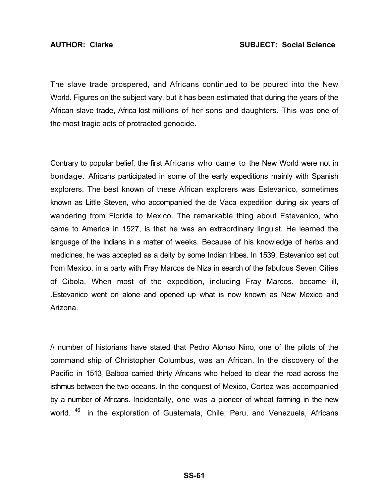The slave trade prospered, and Africans continued to be poured into the New World. Figures on the subject vary, but it has been estimated that during the years of the African slave trade, Africa lost millions of her sons and daughters. This was one of the most tragic acts of protracted genocide.

Contrary to popular belief, the first Africans who came to the New World were not in bondage. Africans participated in some of the early expeditions mainly with Spanish explorers. The best known of these African explorers was Estevanico, sometimes known as Little Steven, who accompanied the de Vaca expedition during six years of wandering from Florida to Mexico. The remarkable thing about Estevanico, who came to America in 1527, is that he was an extraordinary linguist. He learned the language of the Indians in a matter of weeks. Because of his knowledge of herbs and medicines, he was accepted as a deity by some Indian tribes. In 1539, Estevanico set out from Mexico. in a party with Fray Marcos de Niza in search of the fabulous Seven Cities of Cibola. When most of the expedition, including Fray Marcos, became ill, .Estevanico went on alone and opened up what is now known as New Mexico and Arizona.

 $\land$  number of historians have stated that Pedro Alonso Nino, one of the pilots of the command ship of Christopher Columbus, was an African. In the discovery of the Pacific in 1513, Balboa carried thirty Africans who helped to clear the road across the isthmus between the two oceans. In the conquest of Mexico, Cortez was accompanied by a number of Africans. Incidentally, one was a pioneer of wheat farming in the new world. <sup>46</sup> in the exploration of Guatemala, Chile, Peru, and Venezuela, Africans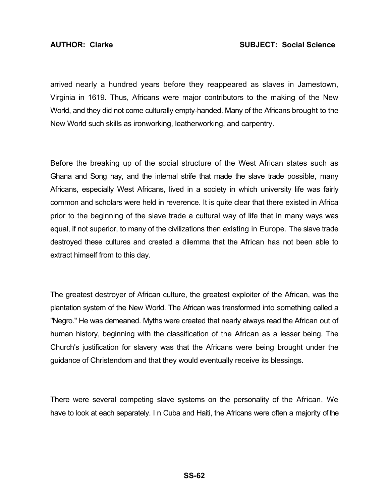arrived nearly a hundred years before they reappeared as slaves in Jamestown, Virginia in 1619. Thus, Africans were major contributors to the making of the New World, and they did not come culturally empty-handed. Many of the Africans brought to the New World such skills as ironworking, leatherworking, and carpentry.

Before the breaking up of the social structure of the West African states such as Ghana and Song hay, and the internal strife that made the slave trade possible, many Africans, especially West Africans, lived in a society in which university life was fairly common and scholars were held in reverence. It is quite clear that there existed in Africa prior to the beginning of the slave trade a cultural way of life that in many ways was equal, if not superior, to many of the civilizations then existing in Europe. The slave trade destroyed these cultures and created a dilemma that the African has not been able to extract himself from to this day.

The greatest destroyer of African culture, the greatest exploiter of the African, was the plantation system of the New World. The African was transformed into something called a "Negro." He was demeaned. Myths were created that nearly always read the African out of human history, beginning with the classification of the African as a lesser being. The Church's justification for slavery was that the Africans were being brought under the guidance of Christendom and that they would eventually receive its blessings.

There were several competing slave systems on the personality of the African. We have to look at each separately. I n Cuba and Haiti, the Africans were often a majority of the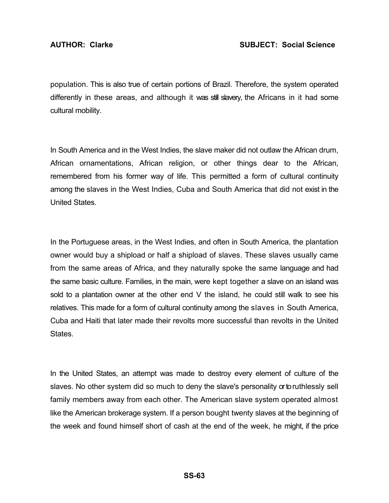population. This is also true of certain portions of Brazil. Therefore, the system operated differently in these areas, and although it was still slavery, the Africans in it had some cultural mobility.

In South America and in the West Indies, the slave maker did not outlaw the African drum, African ornamentations, African religion, or other things dear to the African, remembered from his former way of life. This permitted a form of cultural continuity among the slaves in the West Indies, Cuba and South America that did not exist in the United States.

In the Portuguese areas, in the West Indies, and often in South America, the plantation owner would buy a shipload or half a shipload of slaves. These slaves usually came from the same areas of Africa, and they naturally spoke the same language and had the same basic culture. Families, in the main, were kept together a slave on an island was sold to a plantation owner at the other end V the island, he could still walk to see his relatives. This made for a form of cultural continuity among the slaves in South America, Cuba and Haiti that later made their revolts more successful than revolts in the United States.

In the United States, an attempt was made to destroy every element of culture of the slaves. No other system did so much to deny the slave's personality ortoruthlessly sell family members away from each other. The American slave system operated almost like the American brokerage system. If a person bought twenty slaves at the beginning of the week and found himself short of cash at the end of the week, he might, if the price

**SS-63**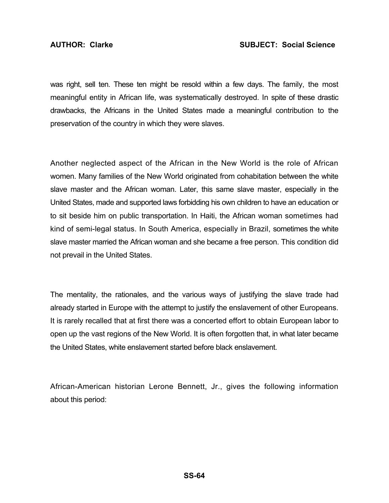was right, sell ten. These ten might be resold within a few days. The family, the most meaningful entity in African life, was systematically destroyed. In spite of these drastic drawbacks, the Africans in the United States made a meaningful contribution to the preservation of the country in which they were slaves.

Another neglected aspect of the African in the New World is the role of African women. Many families of the New World originated from cohabitation between the white slave master and the African woman. Later, this same slave master, especially in the United States, made and supported laws forbidding his own children to have an education or to sit beside him on public transportation. In Haiti, the African woman sometimes had kind of semi-legal status. In South America, especially in Brazil, sometimes the white slave master married the African woman and she became a free person. This condition did not prevail in the United States.

The mentality, the rationales, and the various ways of justifying the slave trade had already started in Europe with the attempt to justify the enslavement of other Europeans. It is rarely recalled that at first there was a concerted effort to obtain European labor to open up the vast regions of the New World. It is often forgotten that, in what later became the United States, white enslavement started before black enslavement.

African-American historian Lerone Bennett, Jr., gives the following information about this period: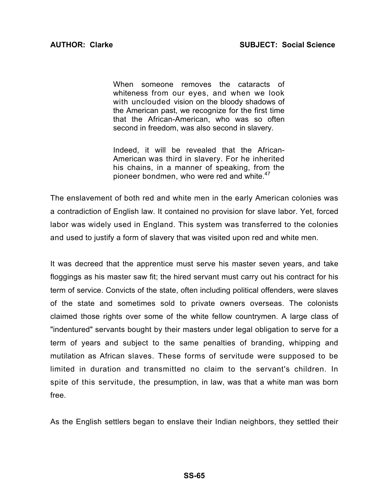When someone removes the cataracts of whiteness from our eyes, and when we look with unclouded vision on the bloody shadows of the American past, we recognize for the first time that the African-American, who was so often second in freedom, was also second in slavery.

Indeed, it will be revealed that the African-American was third in slavery. For he inherited his chains, in a manner of speaking, from the pioneer bondmen, who were red and white.<sup>47</sup>

The enslavement of both red and white men in the early American colonies was a contradiction of English law. It contained no provision for slave labor. Yet, forced labor was widely used in England. This system was transferred to the colonies and used to justify a form of slavery that was visited upon red and white men.

It was decreed that the apprentice must serve his master seven years, and take floggings as his master saw fit; the hired servant must carry out his contract for his term of service. Convicts of the state, often including political offenders, were slaves of the state and sometimes sold to private owners overseas. The colonists claimed those rights over some of the white fellow countrymen. A large class of "indentured" servants bought by their masters under legal obligation to serve for a term of years and subject to the same penalties of branding, whipping and mutilation as African slaves. These forms of servitude were supposed to be limited in duration and transmitted no claim to the servant's children. In spite of this servitude, the presumption, in law, was that a white man was born free.

As the English settlers began to enslave their Indian neighbors, they settled their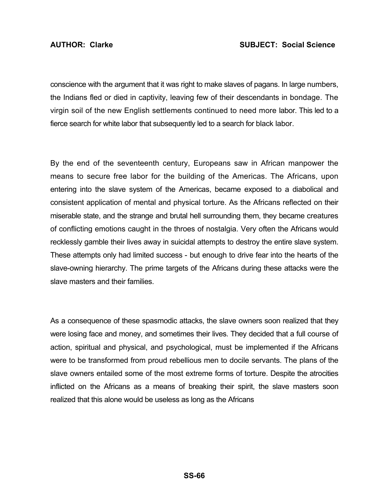conscience with the argument that it was right to make slaves of pagans. In large numbers, the Indians fled or died in captivity, leaving few of their descendants in bondage. The virgin soil of the new English settlements continued to need more labor. This led to a fierce search for white labor that subsequently led to a search for black labor.

By the end of the seventeenth century, Europeans saw in African manpower the means to secure free labor for the building of the Americas. The Africans, upon entering into the slave system of the Americas, became exposed to a diabolical and consistent application of mental and physical torture. As the Africans reflected on their miserable state, and the strange and brutal hell surrounding them, they became creatures of conflicting emotions caught in the throes of nostalgia. Very often the Africans would recklessly gamble their lives away in suicidal attempts to destroy the entire slave system. These attempts only had limited success - but enough to drive fear into the hearts of the slave-owning hierarchy. The prime targets of the Africans during these attacks were the slave masters and their families.

As a consequence of these spasmodic attacks, the slave owners soon realized that they were losing face and money, and sometimes their lives. They decided that a full course of action, spiritual and physical, and psychological, must be implemented if the Africans were to be transformed from proud rebellious men to docile servants. The plans of the slave owners entailed some of the most extreme forms of torture. Despite the atrocities inflicted on the Africans as a means of breaking their spirit, the slave masters soon realized that this alone would be useless as long as the Africans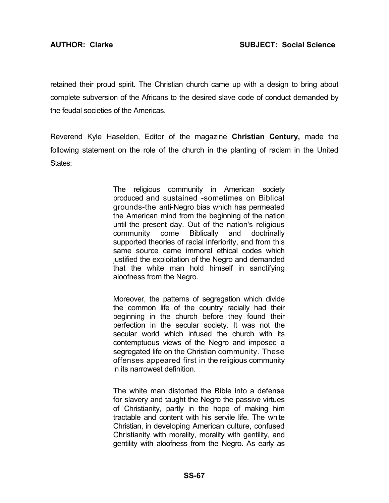retained their proud spirit. The Christian church came up with a design to bring about complete subversion of the Africans to the desired slave code of conduct demanded by the feudal societies of the Americas.

Reverend Kyle Haselden, Editor of the magazine **Christian Century,** made the following statement on the role of the church in the planting of racism in the United States:

> The religious community in American society produced and sustained -sometimes on Biblical grounds-the anti-Negro bias which has permeated the American mind from the beginning of the nation until the present day. Out of the nation's religious community come Biblically and doctrinally supported theories of racial inferiority, and from this same source came immoral ethical codes which justified the exploitation of the Negro and demanded that the white man hold himself in sanctifying aloofness from the Negro.

> Moreover, the patterns of segregation which divide the common life of the country racially had their beginning in the church before they found their perfection in the secular society. It was not the secular world which infused the church with its contemptuous views of the Negro and imposed a segregated life on the Christian community. These offenses appeared first in the religious community in its narrowest definition.

> The white man distorted the Bible into a defense for slavery and taught the Negro the passive virtues of Christianity, partly in the hope of making him tractable and content with his servile life. The white Christian, in developing American culture, confused Christianity with morality, morality with gentility, and gentility with aloofness from the Negro. As early as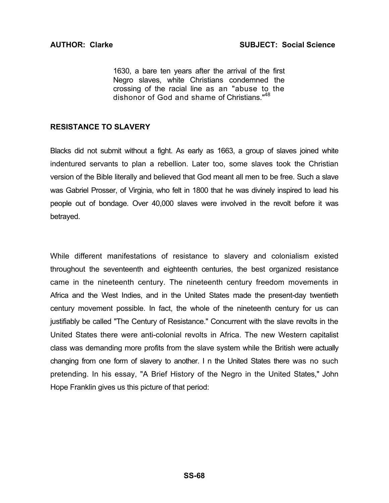1630, a bare ten years after the arrival of the first Negro slaves, white Christians condemned the crossing of the racial line as an "abuse to the dishonor of God and shame of Christians."<sup>48</sup>

## **RESISTANCE TO SLAVERY**

Blacks did not submit without a fight. As early as 1663, a group of slaves joined white indentured servants to plan a rebellion. Later too, some slaves took the Christian version of the Bible literally and believed that God meant all men to be free. Such a slave was Gabriel Prosser, of Virginia, who felt in 1800 that he was divinely inspired to lead his people out of bondage. Over 40,000 slaves were involved in the revolt before it was betrayed.

While different manifestations of resistance to slavery and colonialism existed throughout the seventeenth and eighteenth centuries, the best organized resistance came in the nineteenth century. The nineteenth century freedom movements in Africa and the West Indies, and in the United States made the present-day twentieth century movement possible. In fact, the whole of the nineteenth century for us can justifiably be called "The Century of Resistance." Concurrent with the slave revolts in the United States there were anti-colonial revolts in Africa. The new Western capitalist class was demanding more profits from the slave system while the British were actually changing from one form of slavery to another. I n the United States there was no such pretending. In his essay, "A Brief History of the Negro in the United States," John Hope Franklin gives us this picture of that period: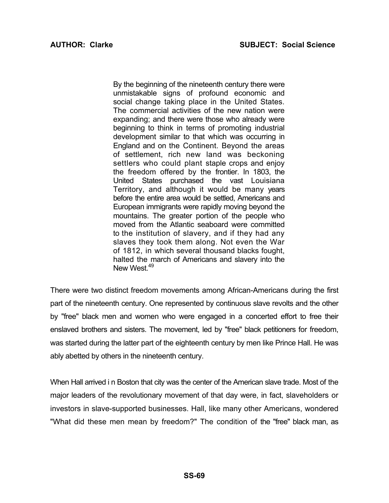By the beginning of the nineteenth century there were unmistakable signs of profound economic and social change taking place in the United States. The commercial activities of the new nation were expanding; and there were those who already were beginning to think in terms of promoting industrial development similar to that which was occurring in England and on the Continent. Beyond the areas of settlement, rich new land was beckoning settlers who could plant staple crops and enjoy the freedom offered by the frontier. In 1803, the United States purchased the vast Louisiana Territory, and although it would be many years before the entire area would be settled, Americans and European immigrants were rapidly moving beyond the mountains. The greater portion of the people who moved from the Atlantic seaboard were committed to the institution of slavery, and if they had any slaves they took them along. Not even the War of 1812, in which several thousand blacks fought, halted the march of Americans and slavery into the New West.<sup>49</sup>

There were two distinct freedom movements among African-Americans during the first part of the nineteenth century. One represented by continuous slave revolts and the other by "free" black men and women who were engaged in a concerted effort to free their enslaved brothers and sisters. The movement, led by "free" black petitioners for freedom, was started during the latter part of the eighteenth century by men like Prince Hall. He was ably abetted by others in the nineteenth century.

When Hall arrived i n Boston that city was the center of the American slave trade. Most of the major leaders of the revolutionary movement of that day were, in fact, slaveholders or investors in slave-supported businesses. Hall, like many other Americans, wondered "What did these men mean by freedom?" The condition of the "free" black man, as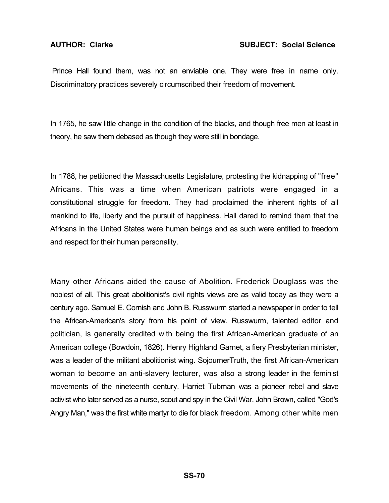### **AUTHOR: Clarke SUBJECT: Social Science**

Prince Hall found them, was not an enviable one. They were free in name only. Discriminatory practices severely circumscribed their freedom of movement.

In 1765, he saw little change in the condition of the blacks, and though free men at least in theory, he saw them debased as though they were still in bondage.

In 1788, he petitioned the Massachusetts Legislature, protesting the kidnapping of "free" Africans. This was a time when American patriots were engaged in a constitutional struggle for freedom. They had proclaimed the inherent rights of all mankind to life, liberty and the pursuit of happiness. Hall dared to remind them that the Africans in the United States were human beings and as such were entitled to freedom and respect for their human personality.

Many other Africans aided the cause of Abolition. Frederick Douglass was the noblest of all. This great abolitionist's civil rights views are as valid today as they were a century ago. Samuel E. Cornish and John B. Russwurm started a newspaper in order to tell the African-American's story from his point of view. Russwurm, talented editor and politician, is generally credited with being the first African-American graduate of an American college (Bowdoin, 1826). Henry Highland Garnet, a fiery Presbyterian minister, was a leader of the militant abolitionist wing. SojournerTruth, the first African-American woman to become an anti-slavery lecturer, was also a strong leader in the feminist movements of the nineteenth century. Harriet Tubman was a pioneer rebel and slave activist who later served as a nurse, scout and spy in the Civil War. John Brown, called "God's Angry Man," was the first white martyr to die for black freedom. Among other white men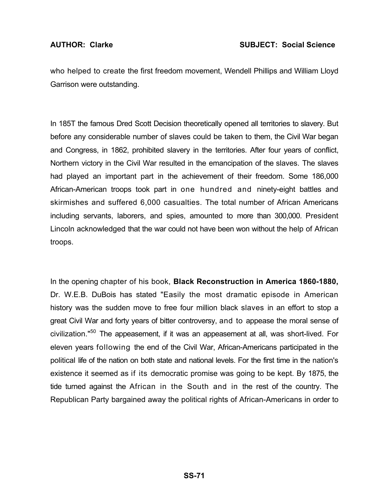who helped to create the first freedom movement, Wendell Phillips and William Lloyd Garrison were outstanding.

In 185T the famous Dred Scott Decision theoretically opened all territories to slavery. But before any considerable number of slaves could be taken to them, the Civil War began and Congress, in 1862, prohibited slavery in the territories. After four years of conflict, Northern victory in the Civil War resulted in the emancipation of the slaves. The slaves had played an important part in the achievement of their freedom. Some 186,000 African-American troops took part in one hundred and ninety-eight battles and skirmishes and suffered 6,000 casualties. The total number of African Americans including servants, laborers, and spies, amounted to more than 300,000. President Lincoln acknowledged that the war could not have been won without the help of African troops.

In the opening chapter of his book, **Black Reconstruction in America 1860-1880,** Dr. W.E.B. DuBois has stated "Easily the most dramatic episode in American history was the sudden move to free four million black slaves in an effort to stop a great Civil War and forty years of bitter controversy, and to appease the moral sense of civilization."<sup>50</sup> The appeasement, if it was an appeasement at all, was short-lived. For eleven years following the end of the Civil War, African-Americans participated in the political life of the nation on both state and national levels. For the first time in the nation's existence it seemed as if its democratic promise was going to be kept. By 1875, the tide turned against the African in the South and in the rest of the country. The Republican Party bargained away the political rights of African-Americans in order to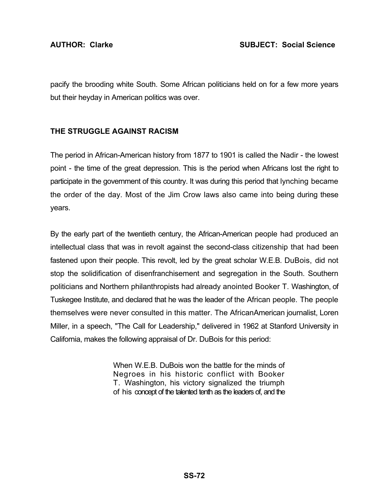pacify the brooding white South. Some African politicians held on for a few more years but their heyday in American politics was over.

## **THE STRUGGLE AGAINST RACISM**

The period in African-American history from 1877 to 1901 is called the Nadir - the lowest point - the time of the great depression. This is the period when Africans lost the right to participate in the government of this country. It was during this period that lynching became the order of the day. Most of the Jim Crow laws also came into being during these years.

By the early part of the twentieth century, the African-American people had produced an intellectual class that was in revolt against the second-class citizenship that had been fastened upon their people. This revolt, led by the great scholar W.E.B. DuBois, did not stop the solidification of disenfranchisement and segregation in the South. Southern politicians and Northern philanthropists had already anointed Booker T. Washington, of Tuskegee Institute, and declared that he was the leader of the African people. The people themselves were never consulted in this matter. The AfricanAmerican journalist, Loren Miller, in a speech, "The Call for Leadership," delivered in 1962 at Stanford University in California, makes the following appraisal of Dr. DuBois for this period:

> When W.E.B. DuBois won the battle for the minds of Negroes in his historic conflict with Booker T. Washington, his victory signalized the triumph of his concept of the talented tenth as the leaders of, and the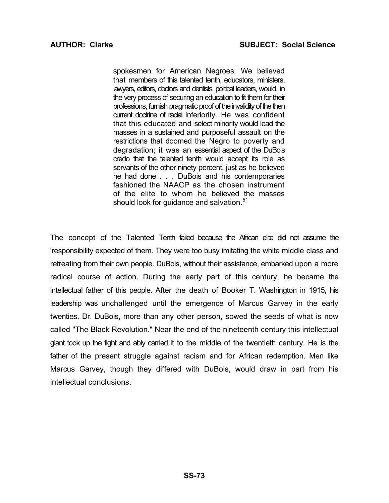spokesmen for American Negroes. We believed that members of this talented tenth, educators, ministers, lawyers, editors, doctors and dentists, political leaders, would, in the very process of securing an education to fit them for their professions, furnish pragmatic proof of the invalidity of the then current doctrine of racial inferiority. He was confident that this educated and select minority would lead the masses in a sustained and purposeful assault on the restrictions that doomed the Negro to poverty and degradation; it was an essential aspect of the DuBois credo that the talented tenth would accept its role as servants of the other ninety percent, just as he believed he had done . . . DuBois and his contemporaries fashioned the NAACP as the chosen instrument of the elite to whom he believed the masses should look for guidance and salvation.<sup>51</sup>

The concept of the Talented Tenth failed because the African elite did not assume the 'responsibility expected of them. They were too busy imitating the white middle class and retreating from their own people. DuBois, without their assistance, embarked upon a more radical course of action. During the early part of this century, he became the intellectual father of this people. After the death of Booker T. Washington in 1915, his leadership was unchallenged until the emergence of Marcus Garvey in the early twenties. Dr. DuBois, more than any other person, sowed the seeds of what is now called "The Black Revolution." Near the end of the nineteenth century this intellectual giant took up the fight and ably carried it to the middle of the twentieth century. He is the father of the present struggle against racism and for African redemption. Men like Marcus Garvey, though they differed with DuBois, would draw in part from his intellectual conclusions.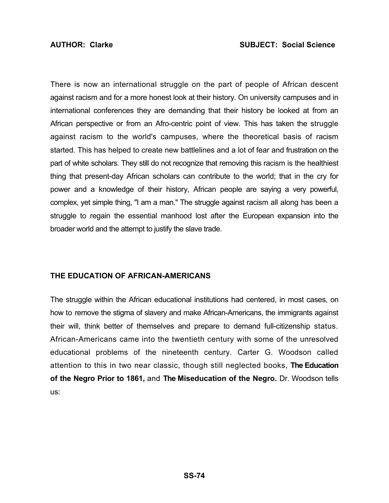There is now an international struggle on the part of people of African descent against racism and for a more honest look at their history. On university campuses and in international conferences they are demanding that their history be looked at from an African perspective or from an Afro-centric point of view. This has taken the struggle against racism to the world's campuses, where the theoretical basis of racism started. This has helped to create new battlelines and a lot of fear and frustration on the part of white scholars. They still do not recognize that removing this racism is the healthiest thing that present-day African scholars can contribute to the world; that in the cry for power and a knowledge of their history, African people are saying a very powerful, complex, yet simple thing, "I am a man." The struggle against racism all along has been a struggle to regain the essential manhood lost after the European expansion into the broader world and the attempt to justify the slave trade.

### **THE EDUCATION OF AFRICAN-AMERICANS**

The struggle within the African educational institutions had centered, in most cases, on how to remove the stigma of slavery and make African-Americans, the immigrants against their will, think better of themselves and prepare to demand full-citizenship status. African-Americans came into the twentieth century with some of the unresolved educational problems of the nineteenth century. Carter G. Woodson called attention to this in two near classic, though still neglected books, **The Education of the Negro Prior to 1861,** and **The Miseducation of the Negro.** Dr. Woodson tells us: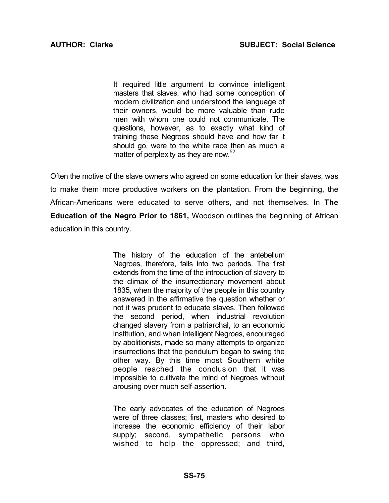It required little argument to convince intelligent masters that slaves, who had some conception of modern civilization and understood the language of their owners, would be more valuable than rude men with whom one could not communicate. The questions, however, as to exactly what kind of training these Negroes should have and how far it should go, were to the white race then as much a matter of perplexity as they are now.<sup>52</sup>

Often the motive of the slave owners who agreed on some education for their slaves, was to make them more productive workers on the plantation. From the beginning, the African-Americans were educated to serve others, and not themselves. In **The Education of the Negro Prior to 1861,** Woodson outlines the beginning of African education in this country.

> The history of the education of the antebellum Negroes, therefore, falls into two periods. The first extends from the time of the introduction of slavery to the climax of the insurrectionary movement about 1835, when the majority of the people in this country answered in the affirmative the question whether or not it was prudent to educate slaves. Then followed the second period, when industrial revolution changed slavery from a patriarchal, to an economic institution, and when intelligent Negroes, encouraged by abolitionists, made so many attempts to organize insurrections that the pendulum began to swing the other way. By this time most Southern white people reached the conclusion that it was impossible to cultivate the mind of Negroes without arousing over much self-assertion.

> The early advocates of the education of Negroes were of three classes; first, masters who desired to increase the economic efficiency of their labor supply; second, sympathetic persons who wished to help the oppressed; and third,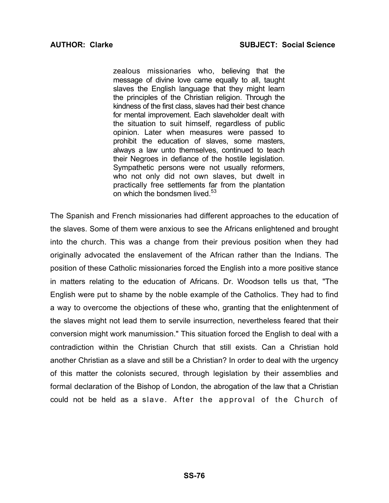zealous missionaries who, believing that the message of divine love came equally to all, taught slaves the English language that they might learn the principles of the Christian religion. Through the kindness of the first class, slaves had their best chance for mental improvement. Each slaveholder dealt with the situation to suit himself, regardless of public opinion. Later when measures were passed to prohibit the education of slaves, some masters, always a law unto themselves, continued to teach their Negroes in defiance of the hostile legislation. Sympathetic persons were not usually reformers, who not only did not own slaves, but dwelt in practically free settlements far from the plantation on which the bondsmen lived.<sup>53</sup>

The Spanish and French missionaries had different approaches to the education of the slaves. Some of them were anxious to see the Africans enlightened and brought into the church. This was a change from their previous position when they had originally advocated the enslavement of the African rather than the Indians. The position of these Catholic missionaries forced the English into a more positive stance in matters relating to the education of Africans. Dr. Woodson tells us that, "The English were put to shame by the noble example of the Catholics. They had to find a way to overcome the objections of these who, granting that the enlightenment of the slaves might not lead them to servile insurrection, nevertheless feared that their conversion might work manumission." This situation forced the English to deal with a contradiction within the Christian Church that still exists. Can a Christian hold another Christian as a slave and still be a Christian? In order to deal with the urgency of this matter the colonists secured, through legislation by their assemblies and formal declaration of the Bishop of London, the abrogation of the law that a Christian could not be held as a slave. After the approval of the Church of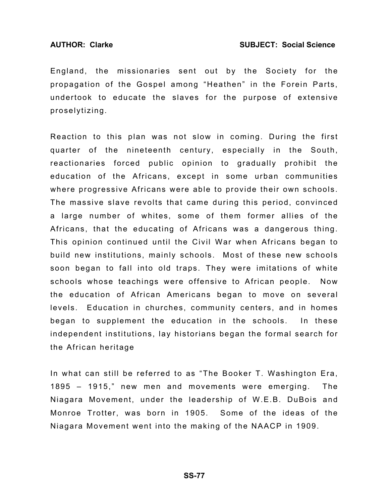England, the missionaries sent out by the Society for the propagation of the Gospel among "Heathen" in the Forein Parts, undertook to educate the slaves for the purpose of extensive proselytizing.

Reaction to this plan was not slow in coming. During the first quarter of the nineteenth century, especially in the South, reactionaries forced public opinion to gradually prohibit the education of the Africans, except in some urban communities where progressive Africans were able to provide their own schools. The massive slave revolts that came during this period, convinced a large number of whites, some of them former allies of the Africans, that the educating of Africans was a dangerous thing. This opinion continued until the Civil War when Africans began to build new institutions, mainly s chools. Most of these new schools soon began to fall into old traps. They were imitations of white schools whose teachings were offensive to African people. Now the education of African Americans began to move on several levels. Education in churches, community centers, and in homes began to supplement the education in the schools. In these independent institutions, lay historians began the formal search for the African heritage

In what can still be referred to as "The Booker T. Washington Era, 1895 – 1915," new men and movements were emerging. The Niagara Movement, under the leadership of W.E.B. DuBois and Monroe Trotter, was born in 1905. Some of the ideas of the Niagara Movement went into the making of the NAACP in 1909.

**SS-77**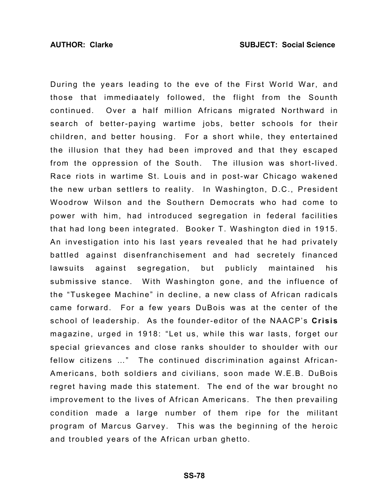During the years leading to the eve of the First World War, and those that immediaately followed, the flight from the Sounth continued. Over a half million Africans migrated Northward in search of better-paying wartime jobs, better schools for their children, and better housing. For a short while, they entertained the illusion that they had been improved and that they escaped from the oppression of the South. The illusion was short-lived. Race riots in wartime St. Louis and in post-war Chicago wakened the new urban settlers to reality. In Washington, D.C., President Woodrow Wilson and the Southern Democrats who had come to power with him, had introduced segregation in federal facilities that had long been integrated. Booker T. Washington died in 1915. An investigation into his last years revealed that he had privately battled against disenfranchisement and had secretely financed lawsuits against segregation, but publicly maintained his submissive stance. With Washington gone, and the influence of the "Tuskegee Machine" in decline, a new class of African radicals came forward. For a few years DuBois was at the center of the school of leadership. As the founder-editor of the NAACP's **Crisis** magazine, urged in 1918: "Let us, while this war lasts, forget our special grievances and close ranks shoulder to shoulder with our fellow citizens …" The continued discrimination against African-Americans, both soldiers and civilians, soon made W.E.B. DuBois regret having made this statement. The end of the war brought no improvement to the lives of African Americans. The then prevailing condition made a large number of them ripe for the militant program of Marcus Garvey. This was the beginning of the heroic and troubled years of the African urban ghetto.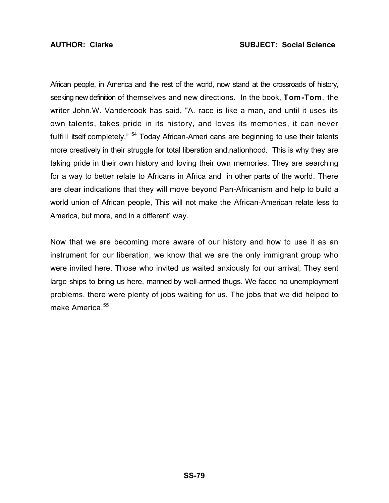African people, in America and the rest of the world, now stand at the crossroads of history, seeking new definition of themselves and new directions. In the book, **Tom-Tom**, the writer John.W. Vandercook has said, "A. race is like a man, and until it uses its own talents, takes pride in its history, and loves its memories, it can never fulfill itself completely." 54 Today African-Ameri cans are beginning to use their talents more creatively in their struggle for total liberation and.nationhood. This is why they are taking pride in their own history and loving their own memories. They are searching for a way to better relate to Africans in Africa and in other parts of the world. There are clear indications that they will move beyond Pan-Africanism and help to build a world union of African people, This will not make the African-American relate less to America, but more, and in a different way.

Now that we are becoming more aware of our history and how to use it as an instrument for our liberation, we know that we are the only immigrant group who were invited here. Those who invited us waited anxiously for our arrival, They sent large ships to bring us here, manned by well-armed thugs. We faced no unemployment problems, there were plenty of jobs waiting for us. The jobs that we did helped to make America.<sup>55</sup>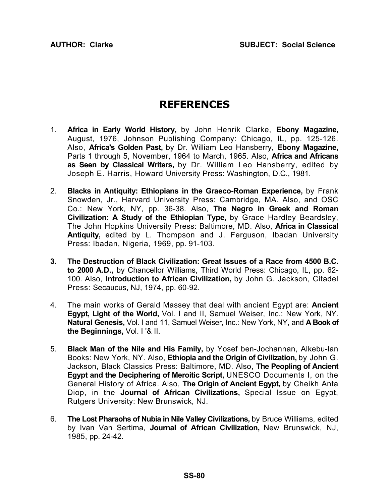## **REFERENCES**

- 1. **Africa in Early World History,** by John Henrik Clarke, **Ebony Magazine,** August, 1976, Johnson Publishing Company: Chicago, IL, pp. 125-126. Also, **Africa's Golden Past,** by Dr. William Leo Hansberry, **Ebony Magazine,**  Parts 1 through 5, November, 1964 to March, 1965. Also, **Africa and Africans as Seen by Classical Writers,** by Dr. William Leo Hansberry, edited by Joseph E. Harris, Howard University Press: Washington, D.C., 1981.
- 2. **Blacks in Antiquity: Ethiopians in the Graeco-Roman Experience,** by Frank Snowden, Jr., Harvard University Press: Cambridge, MA. Also, and OSC Co.: New York, NY, pp. 36-38. Also, **The Negro in Greek and Roman Civilization: A Study of the Ethiopian Type,** by Grace Hardley Beardsley, The John Hopkins University Press: Baltimore, MD. Also, **Africa in Classical Antiquity,** edited by L. Thompson and J. Ferguson, Ibadan University Press: Ibadan, Nigeria, 1969, pp. 91-103.
- **3. The Destruction of Black Civilization: Great Issues of a Race from 4500 B.C. to 2000 A.D.,** by Chancellor Williams, Third World Press: Chicago, IL, pp. 62- 100. Also, **Introduction to African Civilization,** by John G. Jackson, Citadel Press: Secaucus, NJ, 1974, pp. 60-92.
- 4. The main works of Gerald Massey that deal with ancient Egypt are: **Ancient Egypt, Light of the World,** Vol. I and II, Samuel Weiser, Inc.: New York, NY. **Natural Genesis,** Vol. I and 11, Samuel Weiser, Inc.: New York, NY, and **A Book of the Beginnings,** Vol. I '& II.
- 5. **Black Man of the Nile and His Family,** by Yosef ben-Jochannan, Alkebu-lan Books: New York, NY. Also, **Ethiopia and the Origin of Civilization,** by John G. Jackson, Black Classics Press: Baltimore, MD. Also, **The Peopling of Ancient Egypt and the Deciphering of Meroitic Script,** UNESCO Documents I, on the General History of Africa. Also, **The Origin of Ancient Egypt,** by Cheikh Anta Diop, in the **Journal of African Civilizations,** Special Issue on Egypt, Rutgers University: New Brunswick, NJ.
- 6. **The Lost Pharaohs of Nubia in Nile Valley Civilizations,** by Bruce Williams, edited by Ivan Van Sertima, **Journal of African Civilization,** New Brunswick, NJ, 1985, pp. 24-42.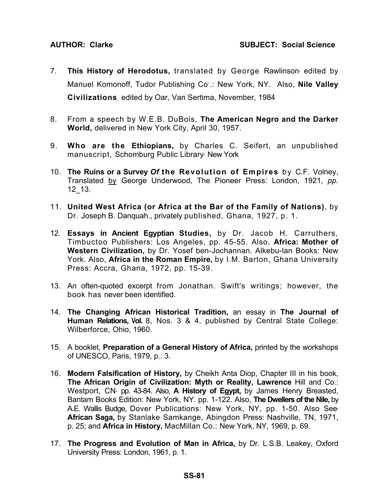- 7. **This History of Herodotus,** translated by George Rawlinson' edited by Manuel Komonoff, Tudor Publishing Co'.: New York, NY. Also, Nile Valley **Civilizations**, edited by Oar, Van Sertima, November, 1984
- 8. From a speech by W.E.B. DuBois, **The American Negro and the Darker World,** delivered in New York City, April 30, 1957.
- 9. **Who are the Ethiopians,** by Charles C. Seifert, an unpublished manuscript, Schomburg Public Library' New York
- 10. **The Ruins or a Survey** *Of* **the Revolution of Empires** by C.F. Volney, Translated by George Underwood, The Pioneer Press: London, 1921, *pp.*  12\_13.
- 11. **United West Africa (or Africa at the Bar of the Family of Nations)**, by Dr. Joseph B. Danquah., privately published, Ghana, 1927, p. 1.
- 12. **Essays in Ancient Egyptian Studies,** by Dr. Jacob H. Carruthers, Timbuctoo Publishers: Los Angeles, pp. 45-55. Also, **Africa: Mother of Western Civilization,** by Dr. Yosef ben-Jochannan. Alkebu-lan Books: New York. Also, **Africa in the Roman Empire,** by I.M. Barton, Ghana University Press: Accra, Ghana, 1972, pp. 15-39.
- 13. An often-quoted excerpt from Jonathan. Swift's writings; however, the book has never been identified.
- 14. **The Changing African Historical Tradition,** an essay in **The Journal of Human Relations, Vol.** 8, Nos. 3 & 4, published by Central State College: Wilberforce, Ohio, 1960.
- 15. A booklet, **Preparation of a General History of Africa,** printed by the workshops of UNESCO, Paris, 1979, p.. 3.
- 16. **Modern Falsification of History,** by Cheikh Anta Diop, Chapter III in his book, **The African Origin of Civilization: Myth or Reality, Lawrence** Hill and Co.: Westport, CN' pp. 43-84. Also, **A History of Egypt,** by James Henry Breasted, Bantam Books Edition: New York, NY. pp. 1-122. Also, **The Dwellers of the Nile,** by A.E. Wallis Budge, Dover Publications: New York, NY, pp. 1-50. Also See' **African Saga,** by Stanlake Samkange, Abingdon Press: Nashville, TN, 1971, p. 25; and **Africa in History,** MacMillan Co.: New York, NY, 1969, p. 69.
- 17. **The Progress and Evolution of Man in Africa,** by Dr. L.S.B. Leakey, Oxford University Press: London, 1961, p. 1.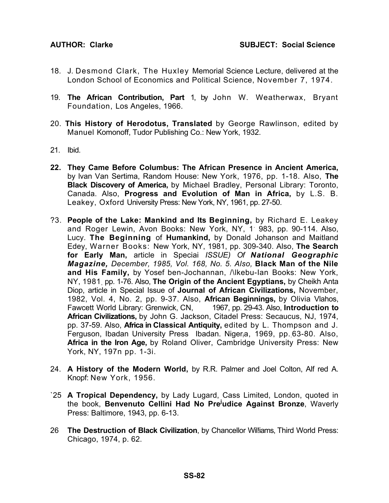- 18. J. Desmond Clark, The Huxley Memorial Science Lecture, delivered at the London School of Economics and Political Science, November 7, 1974.
- 19. **The African Contribution, Part** 1, by John W. Weatherwax, Bryant Foundation, Los Angeles, 1966.
- 20. **This History of Herodotus, Translated** by George Rawlinson, edited by Manuel Komonoff, Tudor Publishing Co.: New York, 1932.
- 21. Ibid.
- **22. They Came Before Columbus: The African Presence in Ancient America,**  by lvan Van Sertima, Random House: New York, 1976, pp. 1-18. Also, **The Black Discovery of America,** by Michael Bradley, Personal Library: Toronto, Canada. Also, **Progress and Evolution of Man in Africa,** by L.S. B. Leakey, Oxford University Press: New York, NY, 1961, pp. 27-50.
- ?3. **People of the Lake: Mankind and Its Beginning,** by Richard E. Leakey and Roger Lewin, Avon Books: New York, NY, 1. 983, pp. 90-114. Also, Lucy. **The Beginning** of **Humankind,** by Donald Johanson and Maitland Edey, Warner Books: New York, NY, 1981, pp. 309-340. Also, **The Search for Early Man,** article in Speciai *ISSUE) Of National Geographic Magazine, December, 1985, Vol. 168, No. 5. Also,* **Black Man of the Nile and His Family,** by Yosef ben-Jochannan, /\lkebu-Ian Books: New York, NY, 1981, pp. 1-76. Also, **The Origin of the Ancient Egyptians,** by Cheikh Anta Diop, article in Special Issue of **Journal of African Civilizations,** November, 1982, Vol. 4, No. 2, pp. 9-37. Also, **African Beginnings,** by Olivia Vlahos, Fawcett World Library: Grenwick, CN, 1967, pp. 29-43. Also, **Introduction to African Civilizations,** by John G. Jackson, Citadel Press: Secaucus, NJ, 1974, pp. 37-59. Also, **Africa in Classical Antiquity,** edited by L. Thompson and J. Ferguson, Ibadan University Press Ibadan. Nigeria, 1969, pp..63-80. Also, **Africa in the Iron Age,** by Roland Oliver, Cambridge University Press: New York, NY, 197n pp. 1-3i.
- 24. **A History of the Modern World,** by R.R. Palmer and Joel Colton, Alf red A. Knopf: New York, 1956.
- `25 **A Tropical Dependency,** by Lady Lugard, Cass Limited, London, quoted in the book, **Benvenuto Cellini Had No Pre<sup>j</sup> udice Against Bronze**, Waverly Press: Baltimore, 1943, pp. 6-13.
- 26 **The Destruction of Black Civilization**, by Chancellor WiI!iams, Third World Press: Chicago, 1974, p. 62.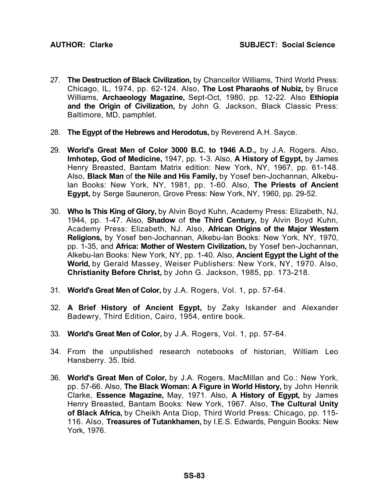- 27. **The Destruction of Black Civilization,** by Chancellor Williams, Third World Press: Chicago, IL, 1974, pp. 62-124. Also, **The Lost Pharaohs of Nubiz,** by Bruce Williams, **Archaeology Magazine,** Sept-Oct, 1980, pp. 12-22. Also **Ethiopia and the Origin of Civilization,** by John G. Jackson, Black Classic Press: Baltimore, MD, pamphlet.
- 28. **The Egypt of the Hebrews and Herodotus,** by Reverend A.H. Sayce.
- 29. **World's Great Men of Color 3000 B.C. to 1946 A.D.,** by J.A. Rogers. Also, **Imhotep, God of Medicine,** 1947, pp. 1-3. Also, **A History of Egypt,** by James Henry Breasted, Bantam Matrix edition: New York, NY, 1967, pp. 61-148. Also, **Black Man** of **the Nile and His Family,** by Yosef ben-Jochannan, Alkebulan Books: New York, NY, 1981, pp. 1-60. Also, **The Priests of Ancient Egypt,** by Serge Sauneron, Grove Press: New York, NY, 1960, pp. 29-52.
- 30. **Who Is This King of Glory,** by Alvin Boyd Kuhn, Academy Press: Elizabeth, NJ, 1944, pp. 1-47. Also, **Shadow** of **the Third Century,** by Alvin Boyd Kuhn, Academy Press: Elizabeth, NJ. Also, **African Origins of the Major Western Religions,** by Yosef ben-Jochannan, Alkebu-lan Books: New York, NY, 1970, pp. 1-35, and **Africa: Mother of Western Civilization,** by Yosef ben-Jochannan, Alkebu-lan Books: New York, NY, pp. 1-40. Also, **Ancient Egypt the Light of the World,** by Gerald Massey, Weiser Publishers: New York, NY, 1970. Also, **Christianity Before Christ,** by John G. Jackson, 1985, pp. 173-218.
- 31. **World's Great Men of Color,** by J.A. Rogers, Vol. 1, pp. 57-64.
- 32. **A Brief History of Ancient Egypt,** by Zaky Iskander and Alexander Badewry, Third Edition, Cairo, 1954, entire book.
- 33. **World's Great Men of Color,** by J.A. Rogers, Vol. 1, pp. 57-64.
- 34. From the unpublished research notebooks of historian, William Leo Hansberry. 35. Ibid.
- 36. **World's Great Men of Color,** by J.A. Rogers, MacMillan and Co.: New York, pp. 57-66. Also, **The Black Woman: A Figure in World History,** by John Henrik Clarke, **Essence Magazine,** May, 1971. Also, **A History of Egypt,** by James Henry Breasted, Bantam Books: New York, 1967. Also, **The Cultural Unity of Black Africa,** by Cheikh Anta Diop, Third World Press: Chicago, pp. 115- 116. Also, **Treasures of Tutankhamen,** by I.E.S. Edwards, Penguin Books: New York, 1976.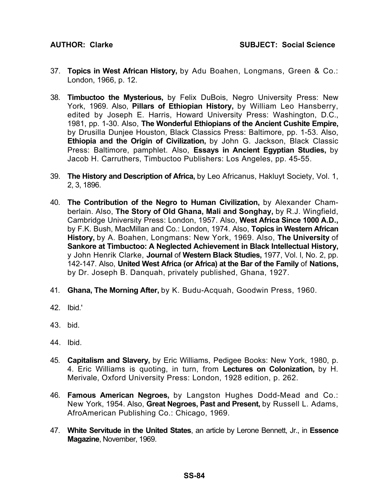- 37. **Topics in West African History,** by Adu Boahen, Longmans, Green & Co.: London, 1966, p. 12.
- 38. **Timbuctoo the Mysterious,** by Felix DuBois, Negro University Press: New York, 1969. Also, **Pillars of Ethiopian History,** by William Leo Hansberry, edited by Joseph E. Harris, Howard University Press: Washington, D.C., 1981, pp. 1-30. Also, **The Wonderful Ethiopians of the Ancient Cushite Empire,** by Drusilla Dunjee Houston, Black Classics Press: Baltimore, pp. 1-53. Also, **Ethiopia and the Origin of Civilization,** by John G. Jackson, Black Classic Press: Baltimore, pamphlet. Also, **Essays in Ancient Egyptian Studies,** by Jacob H. Carruthers, Timbuctoo Publishers: Los Angeles, pp. 45-55.
- 39. **The History and Description of Africa,** by Leo Africanus, Hakluyt Society, Vol. 1, 2, 3, 1896.
- 40. **The Contribution of the Negro to Human Civilization,** by Alexander Chamberlain. Also, **The Story of Old Ghana, Mali and Songhay,** by R.J. Wingfield, Cambridge University Press: London, 1957. Also, **West Africa Since 1000 A.D.,** by F.K. Bush, MacMillan and Co.: London, 1974. Also, **Topics in Western African History,** by A. Boahen, Longmans: New York, 1969. Also, **The University** of **Sankore at Timbuctoo: A Neglected Achievement in Black Intellectual History,** y John Henrik Clarke, **Journal** of **Western Black Studies,** 1977, Vol. l, No. 2, pp. 142-147. Also, **United West Africa (or Africa) at the Bar of the Family** of **Nations,** by Dr. Joseph B. Danquah, privately published, Ghana, 1927.
- 41. **Ghana, The Morning After,** by K. Budu-Acquah, Goodwin Press, 1960.
- 42. Ibid.'
- 43. bid.
- 44. Ibid.
- 45. **Capitalism and Slavery,** by Eric Williams, Pedigee Books: New York, 1980, p. 4. Eric Williams is quoting, in turn, from **Lectures on Colonization,** by H. Merivale, Oxford University Press: London, 1928 edition, p. 262.
- 46. **Famous American Negroes,** by Langston Hughes Dodd-Mead and Co.: New York, 1954. Also, **Great Negroes, Past and Present,** by Russell L. Adams, AfroAmerican Publishing Co.: Chicago, 1969.
- 47. **White Servitude in the United States**, an article by Lerone Bennett, Jr., in **Essence Magazine**, November, 1969.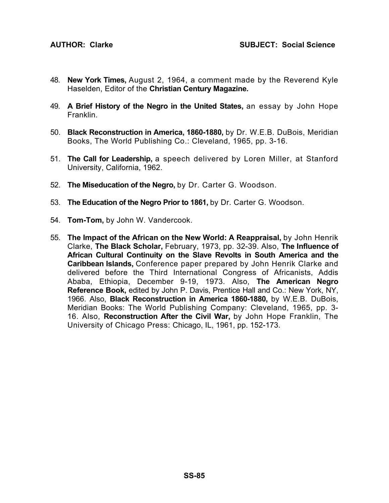- 48. **New York Times,** August 2, 1964, a comment made by the Reverend Kyle Haselden, Editor of the **Christian Century Magazine.**
- 49. **A Brief History of the Negro in the United States,** an essay by John Hope Franklin.
- 50. **Black Reconstruction in America, 1860-1880,** by Dr. W.E.B. DuBois, Meridian Books, The World Publishing Co.: Cleveland, 1965, pp. 3-16.
- 51. **The Call for Leadership,** a speech delivered by Loren Miller, at Stanford University, California, 1962.
- 52. **The Miseducation of the Negro,** by Dr. Carter G. Woodson.
- 53. **The Education of the Negro Prior to 1861,** by Dr. Carter G. Woodson.
- 54. **Tom-Tom,** by John W. Vandercook.
- 55. **The Impact of the African on the New World: A Reappraisal,** by John Henrik Clarke, **The Black Scholar,** February, 1973, pp. 32-39. Also, **The Influence of African Cultural Continuity on the Slave Revolts in South America and the Caribbean Islands,** Conference paper prepared by John Henrik Clarke and delivered before the Third International Congress of Africanists, Addis Ababa, Ethiopia, December 9-19, 1973. Also, **The American Negro Reference Book,** edited by John P. Davis, Prentice Hall and Co.: New York, NY, 1966. Also, **Black Reconstruction in America 1860-1880,** by W.E.B. DuBois, Meridian Books: The World Publishing Company: Cleveland, 1965, pp. 3- 16. Also, **Reconstruction After the Civil War,** by John Hope Franklin, The University of Chicago Press: Chicago, IL, 1961, pp. 152-173.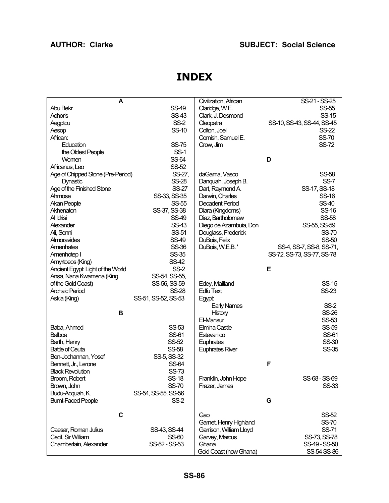## AUTHOR: Clarke SUBJECT: Social Science

# **INDEX**

| A                                 |                     | Civilization, African   | SS-21 - SS-25              |
|-----------------------------------|---------------------|-------------------------|----------------------------|
| <b>Abu Bekr</b>                   | <b>SS-49</b>        | Claridge, W.E.          | <b>SS-55</b>               |
| Achoris                           | <b>SS-43</b>        | Clark, J. Desmond       | <b>SS-15</b>               |
| Aegptcu                           | <b>SS-2</b>         | Cleopatra               | SS-10, SS-43, SS-44, SS-45 |
| Aesop                             | <b>SS-10</b>        | Colton, Joel            | <b>SS-22</b>               |
| African:                          |                     | Comish, Samuel E.       | <b>SS-70</b>               |
| Education                         | <b>SS-75</b>        | Crow, Jim               | <b>SS-72</b>               |
| the Oldest People                 | <b>SS-1</b>         |                         |                            |
| Women                             | SS-64               |                         | D                          |
| Africanus, Leo                    | <b>SS-52</b>        |                         |                            |
| Age of Chipped Stone (Pre-Period) | SS-27,              | daGama, Vasco           | <b>SS-58</b>               |
| Dynastic                          | <b>SS-28</b>        | Danquah, Joseph B.      | <b>SS-7</b>                |
| Age of the Finished Stone         | <b>SS-27</b>        | Dart, Raymond A.        | SS-17, SS-18               |
| Ahmose                            | SS-33, SS-35        | Darwin, Charles         | SS-16                      |
| <b>Akan People</b>                | <b>SS-55</b>        | Decadent Period         | <b>SS-40</b>               |
| Akhenaton                         | SS-37, SS-38        | Diara (Kingdoms)        | <b>SS-16</b>               |
| Al Idrisi                         | <b>SS-49</b>        | Diaz, Bartholomew       | <b>SS-58</b>               |
| Alexander                         | <b>SS-43</b>        | Diego de Azambuia, Don  | SS-55, SS-59               |
| Ali, Sonni                        | SS-51               | Douglass, Frederick     | <b>SS-70</b>               |
| Almoravides                       | <b>SS-49</b>        | DuBois, Felix           | <b>SS-50</b>               |
| Amenhates                         | <b>SS-36</b>        | DuBois, W.E.B.'         | SS-4, SS-7, SS-8, SS-71,   |
| Amenhotep I                       | SS-35               |                         | SS-72, SS-73, SS-77, SS-78 |
| Amyrtoeos (King)                  | <b>SS-42</b>        |                         |                            |
| Ancient Egypt: Light of the World | <b>SS-2</b>         |                         | E                          |
| Ansa, Nana Kwamena (King          | SS-54, SS-55,       |                         |                            |
| of the Gold Coast)                | SS-56, SS-59        | Edey, Maitland          | <b>SS-15</b>               |
| <b>Archaic Period</b>             | <b>SS-28</b>        | Edfu Text               | <b>SS-23</b>               |
| Askia (King)                      | SS-51, SS-52, SS-53 | Egypt:                  |                            |
|                                   |                     | Early Names             | $SS-2$                     |
| B                                 |                     | <b>History</b>          | <b>SS-26</b>               |
|                                   |                     | <b>El-Mansur</b>        | SS-53                      |
| Baba, Ahmed                       | SS-53               | <b>Elmina Castle</b>    | <b>SS-59</b>               |
| Balboa                            | SS-61               | Estevanico              | SS-61                      |
| Barth, Henry                      | <b>SS-52</b>        | <b>Euphrates</b>        | SS-30                      |
| <b>Battle of Ceuta</b>            | <b>SS-58</b>        | <b>Euphrates River</b>  | <b>SS-35</b>               |
| Ben-Jochannan, Yosef              | SS-5, SS-32         |                         |                            |
| Bennett, Jr., Lerone              | SS-64               |                         | F                          |
| <b>Black Revolution</b>           | <b>SS-73</b>        |                         |                            |
| Broom, Robert                     | <b>SS-18</b>        | Franklin, John Hope     | SS-68-SS-69                |
| Brown, John                       | <b>SS-70</b>        | Frazer, James           | SS-33                      |
| Budu-Acquah, K.                   | SS-54, SS-55, SS-56 |                         |                            |
| <b>Bumt-Faced People</b>          | SS-2                |                         | G                          |
| $\mathbf c$                       |                     | Gao                     | SS-52                      |
|                                   |                     | Gamet, Henry Highland   | <b>SS-70</b>               |
| Caesar, Roman Julius              | SS-43, SS-44        | Garrison, William Lloyd | <b>SS-71</b>               |
| Cecil, Sir William                | SS-60               | Garvey, Marcus          | SS-73, SS-78               |
| Chamberlain, Alexander            | SS-52 - SS-53       | Ghana                   | SS-49 - SS-50              |
|                                   |                     | Gold Coast (now Ghana)  | SS-54 SS-86                |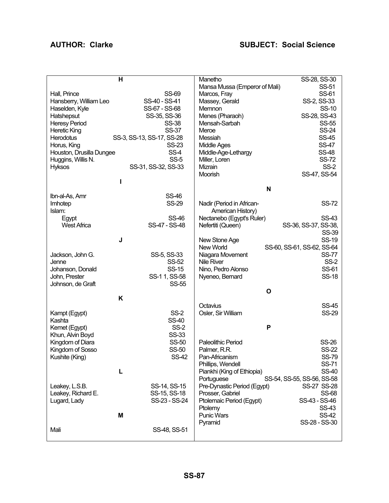## AUTHOR: Clarke SUBJECT: Social Science

| н                        |                           | Manetho                       | SS-28, SS-30               |
|--------------------------|---------------------------|-------------------------------|----------------------------|
|                          |                           | Mansa Mussa (Emperor of Mali) | SS-51                      |
| Hall, Prince             | SS-69                     | Marcos, Fray                  | SS-61                      |
| Hansberry, William Leo   | SS-40 - SS-41             | Massey, Gerald                | SS-2, SS-33                |
| Haselden, Kyle           | SS-67 - SS-68             | Memnon                        | SS-10                      |
| Hatshepsut               | SS-35, SS-36              | Menes (Pharaoh)               | SS-28, SS-43               |
| <b>Heresy Period</b>     | <b>SS-38</b>              | Mensah-Sarbah                 | SS-55                      |
| <b>Heretic King</b>      | <b>SS-37</b>              | Meroe                         | <b>SS-24</b>               |
| <b>Herodotus</b>         | SS-3, SS-13, SS-17, SS-28 | Messiah                       | <b>SS-45</b>               |
| Horus, King              | SS-23                     | Middle Ages                   | <b>SS-47</b>               |
| Houston, Drusilla Dungee | SS-4                      | Middle-Age-Lethargy           | <b>SS-48</b>               |
| Huggins, Willis N.       | <b>SS-5</b>               | Miller, Loren                 | <b>SS-72</b>               |
| <b>Hyksos</b>            | SS-31, SS-32, SS-33       | Mizrain                       | $SS-2$                     |
|                          |                           | Moorish                       | SS-47, SS-54               |
|                          | ı                         |                               |                            |
|                          |                           | N                             |                            |
| Ibn-al-As, Amr           | SS-46                     |                               |                            |
| Imhotep                  | <b>SS-29</b>              | Nadir (Period in African-     | <b>SS-72</b>               |
| Islam:                   |                           | American History)             |                            |
| Egypt                    | SS-46                     | Nectanebo (Egypt's Ruler)     | <b>SS-43</b>               |
| <b>West Africa</b>       | SS-47 - SS-48             | Nefertiti (Queen)             | SS-36, SS-37, SS-38,       |
|                          |                           |                               | SS-39                      |
|                          | J                         | New Stone Age                 | <b>SS-19</b>               |
|                          |                           | New World                     | SS-60, SS-61, SS-62, SS-64 |
| Jackson, John G.         | SS-5, SS-33               | Niagara Movement              | <b>SS-77</b>               |
| Jenne                    | <b>SS-52</b>              | <b>Nile River</b>             | $SS-2$                     |
| Johanson, Donald         | <b>SS-15</b>              | Nino, Pedro Alonso            | SS-61                      |
| John, Prester            | SS-11, SS-58              | Nyeneo, Bernard               | <b>SS-18</b>               |
| Johnson, de Graft        | SS-55                     |                               |                            |
|                          |                           | O                             |                            |
|                          | Κ                         |                               |                            |
|                          |                           | Octavius                      | SS-45                      |
| Kampt (Egypt)            | <b>SS-2</b>               | Osler, Sir William            | <b>SS-29</b>               |
| Kashta                   | SS-40                     |                               |                            |
| Kemet (Egypt)            | <b>SS-2</b>               | P                             |                            |
| Khun, Alvin Boyd         | SS-33                     |                               |                            |
| Kingdom of Diara         | SS-50                     | <b>Paleolithic Period</b>     | <b>SS-26</b>               |
| Kingdom of Sosso         | <b>SS-50</b>              | Palmer, R.R.                  | <b>SS-22</b>               |
| Kushite (King)           | <b>SS-42</b>              | Pan-Africanism                | <b>SS-79</b>               |
|                          |                           | Phillips, Wendell             | SS-71                      |
|                          | L                         | Piankhi (King of Ethiopia)    | SS-40                      |
|                          |                           | Portuguese                    | SS-54, SS-55, SS-56, SS-58 |
| Leakey, L.S.B.           | SS-14, SS-15              | Pre-Dynastic Period (Egypt)   | SS-27 SS-28                |
| Leakey, Richard E.       | SS-15, SS-18              | Prosser, Gabriel              | SS-68                      |
| Lugard, Lady             | SS-23 - SS-24             | Ptolemaic Period (Egypt)      | SS-43 - SS-46              |
|                          |                           | Ptolemy                       | SS-43                      |
|                          | Μ                         | <b>Punic Wars</b>             | SS-42                      |
|                          |                           | Pyramid                       | SS-28 - SS-30              |
| Mali                     | SS-48, SS-51              |                               |                            |
|                          |                           |                               |                            |